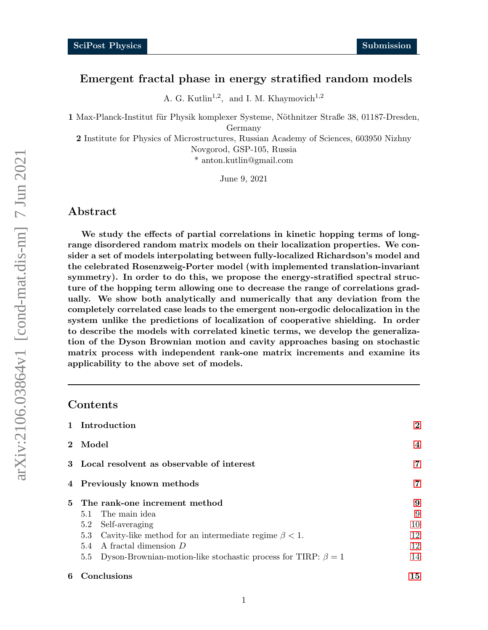# Emergent fractal phase in energy stratified random models

A. G. Kutlin<sup>1,2</sup>, and I. M. Khaymovich<sup>1,2</sup>

1 Max-Planck-Institut für Physik komplexer Systeme, Nöthnitzer Straße 38, 01187-Dresden,

Germany

2 Institute for Physics of Microstructures, Russian Academy of Sciences, 603950 Nizhny Novgorod, GSP-105, Russia

\* anton.kutlin@gmail.com

June 9, 2021

### Abstract

We study the effects of partial correlations in kinetic hopping terms of longrange disordered random matrix models on their localization properties. We consider a set of models interpolating between fully-localized Richardson's model and the celebrated Rosenzweig-Porter model (with implemented translation-invariant symmetry). In order to do this, we propose the energy-stratified spectral structure of the hopping term allowing one to decrease the range of correlations gradually. We show both analytically and numerically that any deviation from the completely correlated case leads to the emergent non-ergodic delocalization in the system unlike the predictions of localization of cooperative shielding. In order to describe the models with correlated kinetic terms, we develop the generalization of the Dyson Brownian motion and cavity approaches basing on stochastic matrix process with independent rank-one matrix increments and examine its applicability to the above set of models.

### Contents

|   | 1 Introduction                                                             | $\bf{2}$ |
|---|----------------------------------------------------------------------------|----------|
|   | 2 Model                                                                    | 4        |
|   | 3 Local resolvent as observable of interest                                | 7        |
|   | 4 Previously known methods                                                 | 7        |
|   | 5 The rank-one increment method                                            | 9        |
|   | 5.1 The main idea                                                          | 9        |
|   | 5.2 Self-averaging                                                         | 10       |
|   | Cavity-like method for an intermediate regime $\beta < 1$ .<br>5.3         | 12       |
|   | 5.4 A fractal dimension D                                                  | 12       |
|   | Dyson-Brownian-motion-like stochastic process for TIRP: $\beta = 1$<br>5.5 | 14       |
| 6 | Conclusions                                                                | 15       |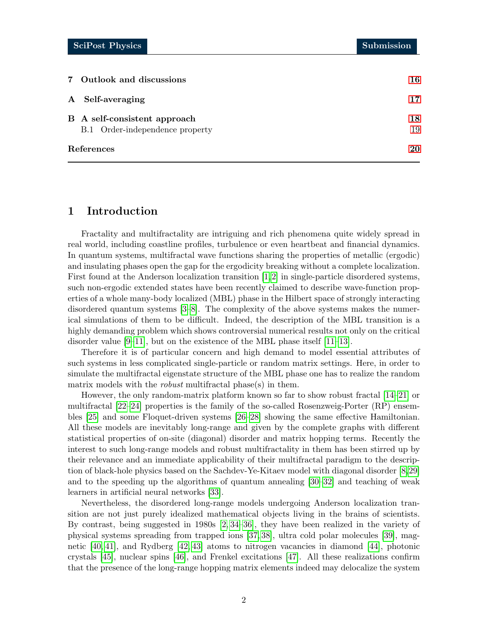|            | 7 Outlook and discussions                                       | 16       |
|------------|-----------------------------------------------------------------|----------|
|            | A Self-averaging                                                | 17       |
|            | B A self-consistent approach<br>B.1 Order-independence property | 18<br>19 |
| References |                                                                 | 20       |

## <span id="page-1-0"></span>1 Introduction

Fractality and multifractality are intriguing and rich phenomena quite widely spread in real world, including coastline profiles, turbulence or even heartbeat and financial dynamics. In quantum systems, multifractal wave functions sharing the properties of metallic (ergodic) and insulating phases open the gap for the ergodicity breaking without a complete localization. First found at the Anderson localization transition  $[1,2]$  in single-particle disordered systems, such non-ergodic extended states have been recently claimed to describe wave-function properties of a whole many-body localized (MBL) phase in the Hilbert space of strongly interacting disordered quantum systems [\[3–](#page-19-2)[8\]](#page-19-3). The complexity of the above systems makes the numerical simulations of them to be difficult. Indeed, the description of the MBL transition is a highly demanding problem which shows controversial numerical results not only on the critical disorder value [\[9–](#page-19-4)[11\]](#page-19-5), but on the existence of the MBL phase itself [\[11–](#page-19-5)[13\]](#page-19-6).

Therefore it is of particular concern and high demand to model essential attributes of such systems in less complicated single-particle or random matrix settings. Here, in order to simulate the multifractal eigenstate structure of the MBL phase one has to realize the random matrix models with the *robust* multifractal phase(s) in them.

However, the only random-matrix platform known so far to show robust fractal [\[14–](#page-19-7)[21\]](#page-20-0) or multifractal [\[22–](#page-20-1)[24\]](#page-20-2) properties is the family of the so-called Rosenzweig-Porter (RP) ensembles [\[25\]](#page-20-3) and some Floquet-driven systems [\[26](#page-20-4)[–28\]](#page-20-5) showing the same effective Hamiltonian. All these models are inevitably long-range and given by the complete graphs with different statistical properties of on-site (diagonal) disorder and matrix hopping terms. Recently the interest to such long-range models and robust multifractality in them has been stirred up by their relevance and an immediate applicability of their multifractal paradigm to the description of black-hole physics based on the Sachdev-Ye-Kitaev model with diagonal disorder [\[8,](#page-19-3)[29\]](#page-20-6) and to the speeding up the algorithms of quantum annealing [\[30–](#page-21-0)[32\]](#page-21-1) and teaching of weak learners in artificial neural networks [\[33\]](#page-21-2).

Nevertheless, the disordered long-range models undergoing Anderson localization transition are not just purely idealized mathematical objects living in the brains of scientists. By contrast, being suggested in 1980s [\[2,](#page-19-1) [34–](#page-21-3)[36\]](#page-21-4), they have been realized in the variety of physical systems spreading from trapped ions [\[37,](#page-21-5) [38\]](#page-21-6), ultra cold polar molecules [\[39\]](#page-21-7), magnetic [\[40,](#page-21-8) [41\]](#page-21-9), and Rydberg [\[42,](#page-21-10) [43\]](#page-22-0) atoms to nitrogen vacancies in diamond [\[44\]](#page-22-1), photonic crystals [\[45\]](#page-22-2), nuclear spins [\[46\]](#page-22-3), and Frenkel excitations [\[47\]](#page-22-4). All these realizations confirm that the presence of the long-range hopping matrix elements indeed may delocalize the system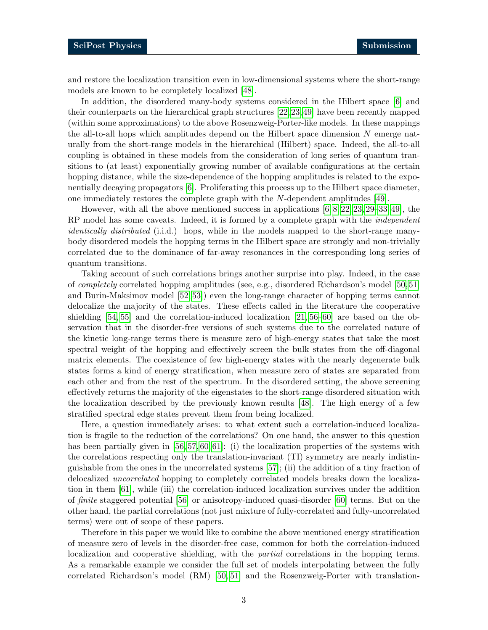and restore the localization transition even in low-dimensional systems where the short-range models are known to be completely localized [\[48\]](#page-22-5).

In addition, the disordered many-body systems considered in the Hilbert space [\[6\]](#page-19-8) and their counterparts on the hierarchical graph structures [\[22,](#page-20-1) [23,](#page-20-7) [49\]](#page-22-6) have been recently mapped (within some approximations) to the above Rosenzweig-Porter-like models. In these mappings the all-to-all hops which amplitudes depend on the Hilbert space dimension  $N$  emerge naturally from the short-range models in the hierarchical (Hilbert) space. Indeed, the all-to-all coupling is obtained in these models from the consideration of long series of quantum transitions to (at least) exponentially growing number of available configurations at the certain hopping distance, while the size-dependence of the hopping amplitudes is related to the exponentially decaying propagators [\[6\]](#page-19-8). Proliferating this process up to the Hilbert space diameter, one immediately restores the complete graph with the N-dependent amplitudes [\[49\]](#page-22-6).

However, with all the above mentioned success in applications  $[6, 8, 22, 23, 29-33, 49]$  $[6, 8, 22, 23, 29-33, 49]$  $[6, 8, 22, 23, 29-33, 49]$  $[6, 8, 22, 23, 29-33, 49]$  $[6, 8, 22, 23, 29-33, 49]$  $[6, 8, 22, 23, 29-33, 49]$  $[6, 8, 22, 23, 29-33, 49]$ , the RP model has some caveats. Indeed, it is formed by a complete graph with the *independent* identically distributed (i.i.d.) hops, while in the models mapped to the short-range manybody disordered models the hopping terms in the Hilbert space are strongly and non-trivially correlated due to the dominance of far-away resonances in the corresponding long series of quantum transitions.

Taking account of such correlations brings another surprise into play. Indeed, in the case of completely correlated hopping amplitudes (see, e.g., disordered Richardson's model [\[50,](#page-22-7) [51\]](#page-22-8) and Burin-Maksimov model [\[52,](#page-22-9) [53\]](#page-22-10)) even the long-range character of hopping terms cannot delocalize the majority of the states. These effects called in the literature the cooperative shielding [\[54,](#page-22-11) [55\]](#page-22-12) and the correlation-induced localization [\[21,](#page-20-0) [56–](#page-23-0)[60\]](#page-23-1) are based on the observation that in the disorder-free versions of such systems due to the correlated nature of the kinetic long-range terms there is measure zero of high-energy states that take the most spectral weight of the hopping and effectively screen the bulk states from the off-diagonal matrix elements. The coexistence of few high-energy states with the nearly degenerate bulk states forms a kind of energy stratification, when measure zero of states are separated from each other and from the rest of the spectrum. In the disordered setting, the above screening effectively returns the majority of the eigenstates to the short-range disordered situation with the localization described by the previously known results [\[48\]](#page-22-5). The high energy of a few stratified spectral edge states prevent them from being localized.

Here, a question immediately arises: to what extent such a correlation-induced localization is fragile to the reduction of the correlations? On one hand, the answer to this question has been partially given in [\[56,](#page-23-0) [57,](#page-23-2) [60,](#page-23-1) [61\]](#page-23-3): (i) the localization properties of the systems with the correlations respecting only the translation-invariant (TI) symmetry are nearly indistinguishable from the ones in the uncorrelated systems [\[57\]](#page-23-2); (ii) the addition of a tiny fraction of delocalized uncorrelated hopping to completely correlated models breaks down the localization in them [\[61\]](#page-23-3), while (iii) the correlation-induced localization survives under the addition of finite staggered potential [\[56\]](#page-23-0) or anisotropy-induced quasi-disorder [\[60\]](#page-23-1) terms. But on the other hand, the partial correlations (not just mixture of fully-correlated and fully-uncorrelated terms) were out of scope of these papers.

Therefore in this paper we would like to combine the above mentioned energy stratification of measure zero of levels in the disorder-free case, common for both the correlation-induced localization and cooperative shielding, with the partial correlations in the hopping terms. As a remarkable example we consider the full set of models interpolating between the fully correlated Richardson's model (RM) [\[50,](#page-22-7) [51\]](#page-22-8) and the Rosenzweig-Porter with translation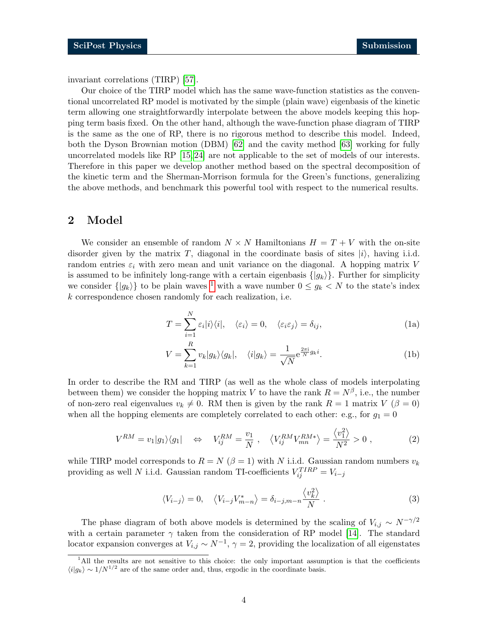invariant correlations (TIRP) [\[57\]](#page-23-2).

Our choice of the TIRP model which has the same wave-function statistics as the conventional uncorrelated RP model is motivated by the simple (plain wave) eigenbasis of the kinetic term allowing one straightforwardly interpolate between the above models keeping this hopping term basis fixed. On the other hand, although the wave-function phase diagram of TIRP is the same as the one of RP, there is no rigorous method to describe this model. Indeed, both the Dyson Brownian motion (DBM) [\[62\]](#page-23-4) and the cavity method [\[63\]](#page-23-5) working for fully uncorrelated models like RP [\[15,](#page-20-8) [24\]](#page-20-2) are not applicable to the set of models of our interests. Therefore in this paper we develop another method based on the spectral decomposition of the kinetic term and the Sherman-Morrison formula for the Green's functions, generalizing the above methods, and benchmark this powerful tool with respect to the numerical results.

### <span id="page-3-0"></span>2 Model

We consider an ensemble of random  $N \times N$  Hamiltonians  $H = T + V$  with the on-site disorder given by the matrix T, diagonal in the coordinate basis of sites  $|i\rangle$ , having i.i.d. random entries  $\varepsilon_i$  with zero mean and unit variance on the diagonal. A hopping matrix V is assumed to be infinitely long-range with a certain eigenbasis  $\{|g_k\rangle\}$ . Further for simplicity we consider  $\{|g_k\rangle\}$  to be plain waves <sup>[1](#page-3-1)</sup> with a wave number  $0 \le g_k < N$  to the state's index k correspondence chosen randomly for each realization, i.e.

<span id="page-3-4"></span>
$$
T = \sum_{i=1}^{N} \varepsilon_i |i\rangle\langle i|, \quad \langle \varepsilon_i \rangle = 0, \quad \langle \varepsilon_i \varepsilon_j \rangle = \delta_{ij}, \tag{1a}
$$

<span id="page-3-2"></span>
$$
V = \sum_{k=1}^{R} v_k |g_k\rangle\langle g_k|, \quad \langle i|g_k\rangle = \frac{1}{\sqrt{N}} e^{\frac{2\pi i}{N} g_k i}.
$$
 (1b)

In order to describe the RM and TIRP (as well as the whole class of models interpolating between them) we consider the hopping matrix V to have the rank  $R = N^{\beta}$ , i.e., the number of non-zero real eigenvalues  $v_k \neq 0$ . RM then is given by the rank  $R = 1$  matrix  $V (\beta = 0)$ when all the hopping elements are completely correlated to each other: e.g., for  $g_1 = 0$ 

$$
V^{RM} = v_1|g_1\rangle\langle g_1| \quad \Leftrightarrow \quad V_{ij}^{RM} = \frac{v_1}{N} \ , \quad \langle V_{ij}^{RM} V_{mn}^{RM*} \rangle = \frac{\langle v_1^2 \rangle}{N^2} > 0 \ , \tag{2}
$$

while TIRP model corresponds to  $R = N (\beta = 1)$  with N i.i.d. Gaussian random numbers  $v_k$ providing as well N i.i.d. Gaussian random TI-coefficients  $V_{ij}^{TIRP} = V_{i-j}$ 

<span id="page-3-3"></span>
$$
\langle V_{i-j} \rangle = 0, \quad \langle V_{i-j} V_{m-n}^* \rangle = \delta_{i-j,m-n} \frac{\langle v_k^2 \rangle}{N} . \tag{3}
$$

The phase diagram of both above models is determined by the scaling of  $V_{i,j} \sim N^{-\gamma/2}$ with a certain parameter  $\gamma$  taken from the consideration of RP model [\[14\]](#page-19-7). The standard locator expansion converges at  $V_{i,j} \sim N^{-1}$ ,  $\gamma = 2$ , providing the localization of all eigenstates

<span id="page-3-1"></span><sup>&</sup>lt;sup>1</sup>All the results are not sensitive to this choice: the only important assumption is that the coefficients  $\langle i|g_k\rangle \sim 1/N^{1/2}$  are of the same order and, thus, ergodic in the coordinate basis.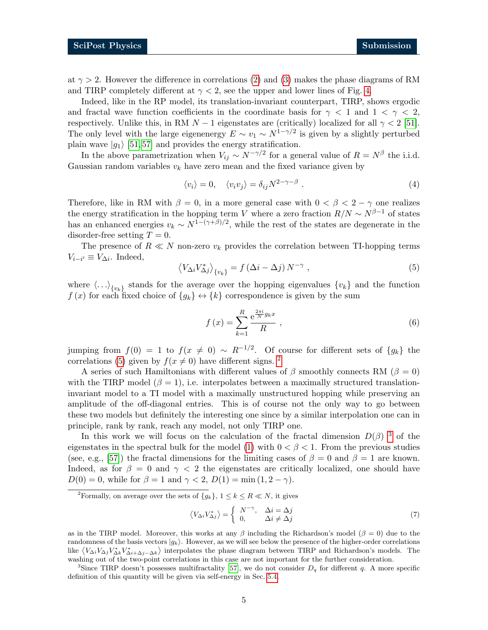at  $\gamma > 2$ . However the difference in correlations [\(2\)](#page-3-2) and [\(3\)](#page-3-3) makes the phase diagrams of RM and TIRP completely different at  $\gamma < 2$ , see the upper and lower lines of Fig. [4.](#page-13-1)

Indeed, like in the RP model, its translation-invariant counterpart, TIRP, shows ergodic and fractal wave function coefficients in the coordinate basis for  $\gamma < 1$  and  $1 < \gamma < 2$ , respectively. Unlike this, in RM  $N-1$  eigenstates are (critically) localized for all  $\gamma < 2$  [\[51\]](#page-22-8). The only level with the large eigenenergy  $E \sim v_1 \sim N^{1-\gamma/2}$  is given by a slightly perturbed plain wave  $|g_1\rangle$  [\[51,](#page-22-8) [57\]](#page-23-2) and provides the energy stratification.

In the above parametrization when  $V_{ij} \sim N^{-\gamma/2}$  for a general value of  $R = N^{\beta}$  the i.i.d. Gaussian random variables  $v_k$  have zero mean and the fixed variance given by

<span id="page-4-3"></span>
$$
\langle v_i \rangle = 0, \quad \langle v_i v_j \rangle = \delta_{ij} N^{2 - \gamma - \beta} . \tag{4}
$$

Therefore, like in RM with  $\beta = 0$ , in a more general case with  $0 < \beta < 2 - \gamma$  one realizes the energy stratification in the hopping term V where a zero fraction  $R/N \sim N^{\beta-1}$  of states has an enhanced energies  $v_k \sim N^{1-(\gamma+\beta)/2}$ , while the rest of the states are degenerate in the disorder-free setting  $T = 0$ .

The presence of  $R \ll N$  non-zero  $v_k$  provides the correlation between TI-hopping terms  $V_{i-i'} \equiv V_{\Delta i}$ . Indeed,

<span id="page-4-0"></span>
$$
\left\langle V_{\Delta i} V_{\Delta j}^* \right\rangle_{\{v_k\}} = f\left(\Delta i - \Delta j\right) N^{-\gamma} , \qquad (5)
$$

where  $\langle \ldots \rangle_{\{v_k\}}$  stands for the average over the hopping eigenvalues  $\{v_k\}$  and the function  $f(x)$  for each fixed choice of  $\{g_k\} \leftrightarrow \{k\}$  correspondence is given by the sum

$$
f\left(x\right) = \sum_{k=1}^{R} \frac{e^{\frac{2\pi i}{N}g_k x}}{R} \,,\tag{6}
$$

jumping from  $f(0) = 1$  to  $f(x \neq 0) \sim R^{-1/2}$ . Of course for different sets of  $\{g_k\}$  the correlations [\(5\)](#page-4-0) given by  $f(x \neq 0)$  have different signs. <sup>[2](#page-4-1)</sup>

A series of such Hamiltonians with different values of  $\beta$  smoothly connects RM ( $\beta = 0$ ) with the TIRP model  $(\beta = 1)$ , i.e. interpolates between a maximally structured translationinvariant model to a TI model with a maximally unstructured hopping while preserving an amplitude of the off-diagonal entries. This is of course not the only way to go between these two models but definitely the interesting one since by a similar interpolation one can in principle, rank by rank, reach any model, not only TIRP one.

In this work we will focus on the calculation of the fractal dimension  $D(\beta)$ <sup>[3](#page-4-2)</sup> of the eigenstates in the spectral bulk for the model [\(1\)](#page-3-4) with  $0 < \beta < 1$ . From the previous studies (see, e.g., [\[57\]](#page-23-2)) the fractal dimensions for the limiting cases of  $\beta = 0$  and  $\beta = 1$  are known. Indeed, as for  $\beta = 0$  and  $\gamma < 2$  the eigenstates are critically localized, one should have  $D(0) = 0$ , while for  $\beta = 1$  and  $\gamma < 2$ ,  $D(1) = \min(1, 2 - \gamma)$ .

$$
\langle V_{\Delta i} V_{\Delta j}^* \rangle = \begin{cases} N^{-\gamma}, & \Delta i = \Delta j \\ 0, & \Delta i \neq \Delta j \end{cases}
$$
 (7)

<span id="page-4-1"></span><sup>&</sup>lt;sup>2</sup>Formally, on average over the sets of  ${q_k}$ ,  $1 \le k \le R \ll N$ , it gives

as in the TIRP model. Moreover, this works at any  $\beta$  including the Richardson's model ( $\beta = 0$ ) due to the randomness of the basis vectors  $|g_k\rangle$ . However, as we will see below the presence of the higher-order correlations like  $\langle V_{\Delta i}V_{\Delta j}V_{\Delta k}^*V_{\Delta i+\Delta j-\Delta k}^*\rangle$  interpolates the phase diagram between TIRP and Richardson's models. The washing out of the two-point correlations in this case are not important for the further consideration.

<span id="page-4-2"></span><sup>&</sup>lt;sup>3</sup>Since TIRP doesn't possesses multifractality [\[57\]](#page-23-2), we do not consider  $D_q$  for different q. A more specific definition of this quantity will be given via self-energy in Sec. [5.4.](#page-11-1)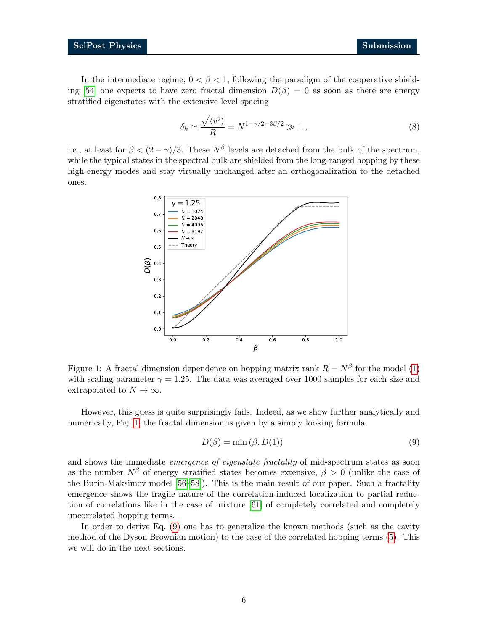In the intermediate regime,  $0 < \beta < 1$ , following the paradigm of the cooperative shield-ing [\[54\]](#page-22-11) one expects to have zero fractal dimension  $D(\beta) = 0$  as soon as there are energy stratified eigenstates with the extensive level spacing

$$
\delta_k \simeq \frac{\sqrt{\langle v^2 \rangle}}{R} = N^{1 - \gamma/2 - 3\beta/2} \gg 1 \tag{8}
$$

i.e., at least for  $\beta < (2-\gamma)/3$ . These  $N^{\beta}$  levels are detached from the bulk of the spectrum, while the typical states in the spectral bulk are shielded from the long-ranged hopping by these high-energy modes and stay virtually unchanged after an orthogonalization to the detached ones.



<span id="page-5-0"></span>Figure 1: A fractal dimension dependence on hopping matrix rank  $R = N^{\beta}$  for the model [\(1\)](#page-3-4) with scaling parameter  $\gamma = 1.25$ . The data was averaged over 1000 samples for each size and extrapolated to  $N \to \infty$ .

However, this guess is quite surprisingly fails. Indeed, as we show further analytically and numerically, Fig. [1,](#page-5-0) the fractal dimension is given by a simply looking formula

<span id="page-5-1"></span>
$$
D(\beta) = \min(\beta, D(1))
$$
\n(9)

and shows the immediate emergence of eigenstate fractality of mid-spectrum states as soon as the number  $N^{\beta}$  of energy stratified states becomes extensive,  $\beta > 0$  (unlike the case of the Burin-Maksimov model [\[56–](#page-23-0)[58\]](#page-23-6)). This is the main result of our paper. Such a fractality emergence shows the fragile nature of the correlation-induced localization to partial reduction of correlations like in the case of mixture [\[61\]](#page-23-3) of completely correlated and completely uncorrelated hopping terms.

In order to derive Eq. [\(9\)](#page-5-1) one has to generalize the known methods (such as the cavity method of the Dyson Brownian motion) to the case of the correlated hopping terms [\(5\)](#page-4-0). This we will do in the next sections.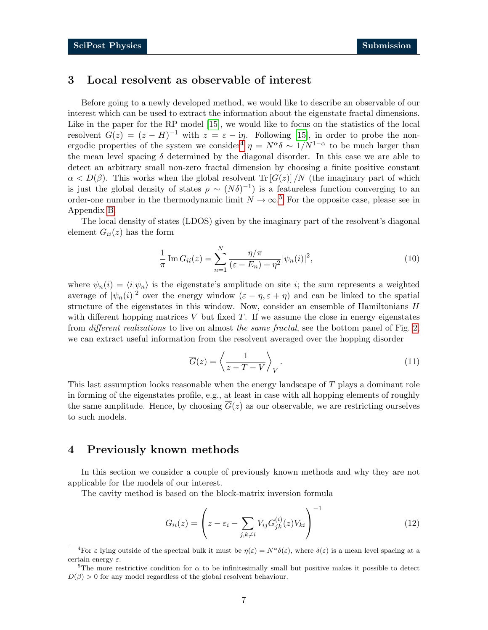## <span id="page-6-0"></span>3 Local resolvent as observable of interest

Before going to a newly developed method, we would like to describe an observable of our interest which can be used to extract the information about the eigenstate fractal dimensions. Like in the paper for the RP model [\[15\]](#page-20-8), we would like to focus on the statistics of the local resolvent  $G(z) = (z - H)^{-1}$  with  $z = \varepsilon - i\eta$ . Following [\[15\]](#page-20-8), in order to probe the non-ergodic properties of the system we consider<sup>[4](#page-6-2)</sup>  $\eta = N^{\alpha} \delta \sim 1/N^{1-\alpha}$  to be much larger than the mean level spacing  $\delta$  determined by the diagonal disorder. In this case we are able to detect an arbitrary small non-zero fractal dimension by choosing a finite positive constant  $\alpha < D(\beta)$ . This works when the global resolvent Tr  $[G(z)]/N$  (the imaginary part of which is just the global density of states  $\rho \sim (N\delta)^{-1}$  is a featureless function converging to an order-one number in the thermodynamic limit  $N \to \infty$ .<sup>[5](#page-6-3)</sup> For the opposite case, please see in Appendix [B.](#page-17-0)

The local density of states (LDOS) given by the imaginary part of the resolvent's diagonal element  $G_{ii}(z)$  has the form

<span id="page-6-4"></span>
$$
\frac{1}{\pi} \operatorname{Im} G_{ii}(z) = \sum_{n=1}^{N} \frac{\eta/\pi}{(\varepsilon - E_n) + \eta^2} |\psi_n(i)|^2,
$$
\n(10)

where  $\psi_n(i) = \langle i|\psi_n\rangle$  is the eigenstate's amplitude on site i; the sum represents a weighted average of  $|\psi_n(i)|^2$  over the energy window  $(\varepsilon - \eta, \varepsilon + \eta)$  and can be linked to the spatial structure of the eigenstates in this window. Now, consider an ensemble of Hamiltonians  $H$ with different hopping matrices  $V$  but fixed  $T$ . If we assume the close in energy eigenstates from *different realizations* to live on almost the same fractal, see the bottom panel of Fig. [2,](#page-7-0) we can extract useful information from the resolvent averaged over the hopping disorder

<span id="page-6-5"></span>
$$
\overline{G}(z) = \left\langle \frac{1}{z - T - V} \right\rangle_V.
$$
\n(11)

This last assumption looks reasonable when the energy landscape of T plays a dominant role in forming of the eigenstates profile, e.g., at least in case with all hopping elements of roughly the same amplitude. Hence, by choosing  $\overline{G}(z)$  as our observable, we are restricting ourselves to such models.

### <span id="page-6-1"></span>4 Previously known methods

In this section we consider a couple of previously known methods and why they are not applicable for the models of our interest.

The cavity method is based on the block-matrix inversion formula

$$
G_{ii}(z) = \left(z - \varepsilon_i - \sum_{j,k \neq i} V_{ij} G_{jk}^{(i)}(z) V_{ki}\right)^{-1}
$$
\n(12)

<span id="page-6-2"></span><sup>&</sup>lt;sup>4</sup>For  $\varepsilon$  lying outside of the spectral bulk it must be  $\eta(\varepsilon) = N^{\alpha} \delta(\varepsilon)$ , where  $\delta(\varepsilon)$  is a mean level spacing at a certain energy  $\varepsilon$ .

<span id="page-6-3"></span><sup>&</sup>lt;sup>5</sup>The more restrictive condition for  $\alpha$  to be infinitesimally small but positive makes it possible to detect  $D(\beta) > 0$  for any model regardless of the global resolvent behaviour.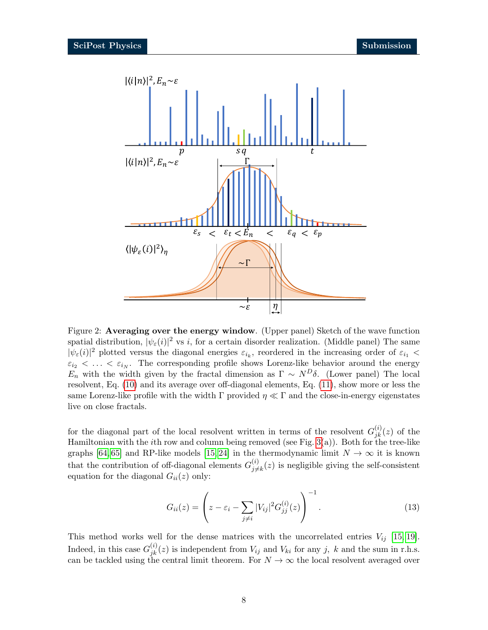

<span id="page-7-0"></span>Figure 2: Averaging over the energy window. (Upper panel) Sketch of the wave function spatial distribution,  $|\psi_{\varepsilon}(i)|^2$  vs *i*, for a certain disorder realization. (Middle panel) The same  $|\psi_{\varepsilon}(i)|^2$  plotted versus the diagonal energies  $\varepsilon_{i_k}$ , reordered in the increasing order of  $\varepsilon_{i_1}$  <  $\varepsilon_{i_2} < \ldots < \varepsilon_{i_N}$ . The corresponding profile shows Lorenz-like behavior around the energy  $E_n$  with the width given by the fractal dimension as  $\Gamma \sim N^D \delta$ . (Lower panel) The local resolvent, Eq. [\(10\)](#page-6-4) and its average over off-diagonal elements, Eq. [\(11\)](#page-6-5), show more or less the same Lorenz-like profile with the width Γ provided  $\eta \ll \Gamma$  and the close-in-energy eigenstates live on close fractals.

for the diagonal part of the local resolvent written in terms of the resolvent  $G_{jk}^{(i)}(z)$  of the Hamiltonian with the *i*th row and column being removed (see Fig.  $3(a)$ ). Both for the tree-like graphs [\[64,](#page-23-7) [65\]](#page-23-8) and RP-like models [\[15,](#page-20-8) [24\]](#page-20-2) in the thermodynamic limit  $N \to \infty$  it is known that the contribution of off-diagonal elements  $G_{i\neq i}^{(i)}$  $j \neq k$  $(z)$  is negligible giving the self-consistent equation for the diagonal  $G_{ii}(z)$  only:

<span id="page-7-1"></span>
$$
G_{ii}(z) = \left(z - \varepsilon_i - \sum_{j \neq i} |V_{ij}|^2 G_{jj}^{(i)}(z)\right)^{-1}.
$$
 (13)

This method works well for the dense matrices with the uncorrelated entries  $V_{ij}$  [\[15,](#page-20-8) [19\]](#page-20-9). Indeed, in this case  $G_{jk}^{(i)}(z)$  is independent from  $V_{ij}$  and  $V_{ki}$  for any j, k and the sum in r.h.s. can be tackled using the central limit theorem. For  $N \to \infty$  the local resolvent averaged over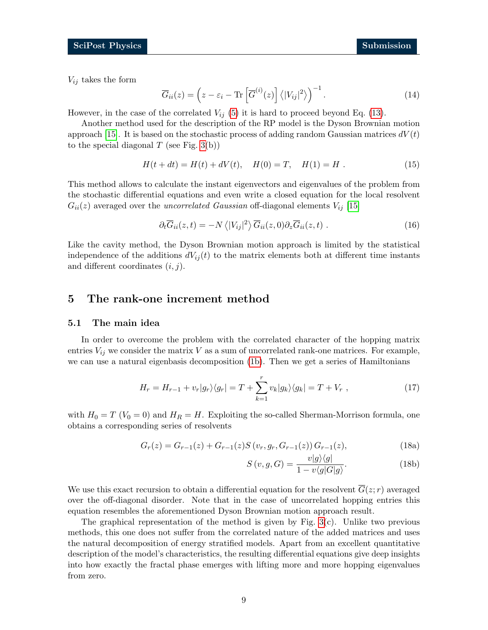$V_{ij}$  takes the form

<span id="page-8-8"></span><span id="page-8-4"></span>
$$
\overline{G}_{ii}(z) = \left(z - \varepsilon_i - \text{Tr}\left[\overline{G}^{(i)}(z)\right] \langle |V_{ij}|^2 \rangle\right)^{-1}.
$$
\n(14)

However, in the case of the correlated  $V_{ij}$  [\(5\)](#page-4-0) it is hard to proceed beyond Eq. [\(13\)](#page-7-1).

Another method used for the description of the RP model is the Dyson Brownian motion approach [\[15\]](#page-20-8). It is based on the stochastic process of adding random Gaussian matrices  $dV(t)$ to the special diagonal  $T$  (see Fig. [3\(](#page-9-1)b))

$$
H(t + dt) = H(t) + dV(t), \quad H(0) = T, \quad H(1) = H.
$$
\n(15)

This method allows to calculate the instant eigenvectors and eigenvalues of the problem from the stochastic differential equations and even write a closed equation for the local resolvent  $G_{ii}(z)$  averaged over the *uncorrelated Gaussian* off-diagonal elements  $V_{ij}$  [\[15\]](#page-20-8)

<span id="page-8-6"></span>
$$
\partial_t \overline{G}_{ii}(z,t) = -N \langle |V_{ij}|^2 \rangle \overline{G}_{ii}(z,0) \partial_z \overline{G}_{ii}(z,t) . \qquad (16)
$$

Like the cavity method, the Dyson Brownian motion approach is limited by the statistical independence of the additions  $dV_{ij}(t)$  to the matrix elements both at different time instants and different coordinates  $(i, j)$ .

## <span id="page-8-0"></span>5 The rank-one increment method

#### <span id="page-8-1"></span>5.1 The main idea

In order to overcome the problem with the correlated character of the hopping matrix entries  $V_{ij}$  we consider the matrix V as a sum of uncorrelated rank-one matrices. For example, we can use a natural eigenbasis decomposition [\(1b\)](#page-3-2). Then we get a series of Hamiltonians

$$
H_r = H_{r-1} + v_r |g_r\rangle\langle g_r| = T + \sum_{k=1}^r v_k |g_k\rangle\langle g_k| = T + V_r , \qquad (17)
$$

with  $H_0 = T (V_0 = 0)$  and  $H_R = H$ . Exploiting the so-called Sherman-Morrison formula, one obtains a corresponding series of resolvents

$$
G_r(z) = G_{r-1}(z) + G_{r-1}(z)S(v_r, g_r, G_{r-1}(z))G_{r-1}(z),
$$
\n(18a)

<span id="page-8-7"></span><span id="page-8-5"></span><span id="page-8-3"></span><span id="page-8-2"></span>
$$
S(v, g, G) = \frac{v|g\rangle\langle g|}{1 - v\langle g|G|g\rangle}.
$$
 (18b)

We use this exact recursion to obtain a differential equation for the resolvent  $\overline{G}(z; r)$  averaged over the off-diagonal disorder. Note that in the case of uncorrelated hopping entries this equation resembles the aforementioned Dyson Brownian motion approach result.

The graphical representation of the method is given by Fig.  $3(c)$ . Unlike two previous methods, this one does not suffer from the correlated nature of the added matrices and uses the natural decomposition of energy stratified models. Apart from an excellent quantitative description of the model's characteristics, the resulting differential equations give deep insights into how exactly the fractal phase emerges with lifting more and more hopping eigenvalues from zero.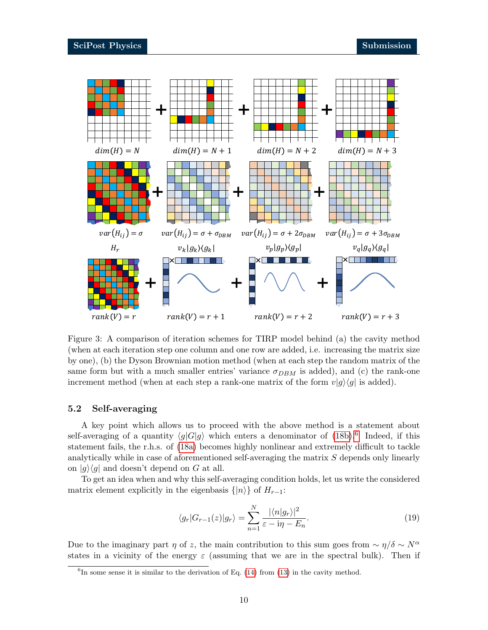

<span id="page-9-1"></span>Figure 3: A comparison of iteration schemes for TIRP model behind (a) the cavity method (when at each iteration step one column and one row are added, i.e. increasing the matrix size by one), (b) the Dyson Brownian motion method (when at each step the random matrix of the same form but with a much smaller entries' variance  $\sigma_{DBM}$  is added), and (c) the rank-one increment method (when at each step a rank-one matrix of the form  $v|q\rangle\langle q|$  is added).

### <span id="page-9-0"></span>5.2 Self-averaging

A key point which allows us to proceed with the above method is a statement about self-averaging of a quantity  $\langle g|G|g\rangle$  which enters a denominator of [\(18b\)](#page-8-2).<sup>[6](#page-9-2)</sup> Indeed, if this statement fails, the r.h.s. of [\(18a\)](#page-8-3) becomes highly nonlinear and extremely difficult to tackle analytically while in case of aforementioned self-averaging the matrix S depends only linearly on  $|g\rangle\langle g|$  and doesn't depend on G at all.

To get an idea when and why this self-averaging condition holds, let us write the considered matrix element explicitly in the eigenbasis  $\{|n\rangle\}$  of  $H_{r-1}$ :

<span id="page-9-3"></span>
$$
\langle g_r | G_{r-1}(z) | g_r \rangle = \sum_{n=1}^{N} \frac{|\langle n | g_r \rangle|^2}{\varepsilon - \mathrm{i} \eta - E_n}.
$$
 (19)

Due to the imaginary part  $\eta$  of z, the main contribution to this sum goes from  $\sim \eta/\delta \sim N^{\alpha}$ states in a vicinity of the energy  $\varepsilon$  (assuming that we are in the spectral bulk). Then if

<span id="page-9-2"></span> ${}^{6}$ In some sense it is similar to the derivation of Eq. [\(14\)](#page-8-4) from [\(13\)](#page-7-1) in the cavity method.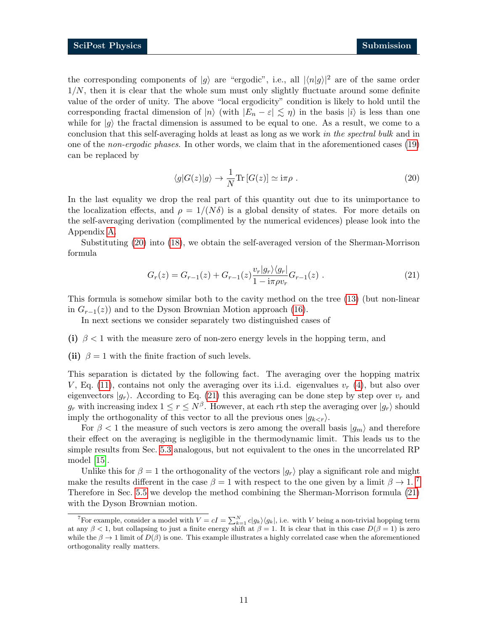the corresponding components of  $|g\rangle$  are "ergodic", i.e., all  $|\langle n|g\rangle|^2$  are of the same order  $1/N$ , then it is clear that the whole sum must only slightly fluctuate around some definite value of the order of unity. The above "local ergodicity" condition is likely to hold until the corresponding fractal dimension of  $|n\rangle$  (with  $|E_n - \varepsilon| \lesssim \eta$ ) in the basis  $|i\rangle$  is less than one while for  $|g\rangle$  the fractal dimension is assumed to be equal to one. As a result, we come to a conclusion that this self-averaging holds at least as long as we work in the spectral bulk and in one of the *non-ergodic phases*. In other words, we claim that in the aforementioned cases [\(19\)](#page-9-3) can be replaced by

<span id="page-10-0"></span>
$$
\langle g|G(z)|g\rangle \to \frac{1}{N} \text{Tr}\left[G(z)\right] \simeq \text{i}\pi\rho . \tag{20}
$$

In the last equality we drop the real part of this quantity out due to its unimportance to the localization effects, and  $\rho = 1/(N\delta)$  is a global density of states. For more details on the self-averaging derivation (complimented by the numerical evidences) please look into the Appendix [A.](#page-16-0)

Substituting [\(20\)](#page-10-0) into [\(18\)](#page-8-5), we obtain the self-averaged version of the Sherman-Morrison formula

<span id="page-10-1"></span>
$$
G_r(z) = G_{r-1}(z) + G_{r-1}(z) \frac{v_r |g_r\rangle\langle g_r|}{1 - i\pi \rho v_r} G_{r-1}(z) . \tag{21}
$$

This formula is somehow similar both to the cavity method on the tree [\(13\)](#page-7-1) (but non-linear in  $G_{r-1}(z)$  and to the Dyson Brownian Motion approach [\(16\)](#page-8-6).

In next sections we consider separately two distinguished cases of

- (i)  $\beta$  < 1 with the measure zero of non-zero energy levels in the hopping term, and
- (ii)  $\beta = 1$  with the finite fraction of such levels.

This separation is dictated by the following fact. The averaging over the hopping matrix V, Eq. [\(11\)](#page-6-5), contains not only the averaging over its i.i.d. eigenvalues  $v_r$  [\(4\)](#page-4-3), but also over eigenvectors  $|g_r\rangle$ . According to Eq. [\(21\)](#page-10-1) this averaging can be done step by step over  $v_r$  and  $g_r$  with increasing index  $1 \le r \le N^{\beta}$ . However, at each rth step the averaging over  $|g_r\rangle$  should imply the orthogonality of this vector to all the previous ones  $|g_{k\lt r}\rangle$ .

For  $\beta < 1$  the measure of such vectors is zero among the overall basis  $|g_m\rangle$  and therefore their effect on the averaging is negligible in the thermodynamic limit. This leads us to the simple results from Sec. [5.3](#page-11-0) analogous, but not equivalent to the ones in the uncorrelated RP model [\[15\]](#page-20-8).

Unlike this for  $\beta = 1$  the orthogonality of the vectors  $|g_r\rangle$  play a significant role and might make the results different in the case  $\beta = 1$  with respect to the one given by a limit  $\beta \rightarrow 1$ . Therefore in Sec. [5.5](#page-13-0) we develop the method combining the Sherman-Morrison formula [\(21\)](#page-10-1) with the Dyson Brownian motion.

<span id="page-10-2"></span><sup>&</sup>lt;sup>7</sup>For example, consider a model with  $V = cI = \sum_{k=1}^{N} c|g_k\rangle\langle g_k|$ , i.e. with V being a non-trivial hopping term at any  $\beta < 1$ , but collapsing to just a finite energy shift at  $\beta = 1$ . It is clear that in this case  $D(\beta = 1)$  is zero while the  $\beta \to 1$  limit of  $D(\beta)$  is one. This example illustrates a highly correlated case when the aforementioned orthogonality really matters.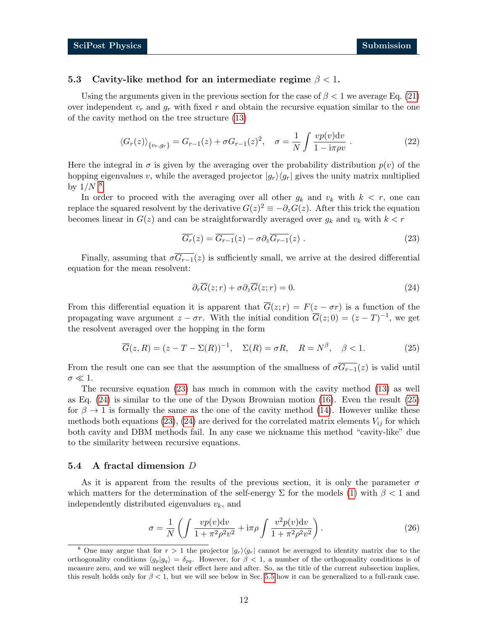#### <span id="page-11-0"></span>5.3 Cavity-like method for an intermediate regime  $\beta < 1$ .

Using the arguments given in the previous section for the case of  $\beta < 1$  we average Eq. [\(21\)](#page-10-1) over independent  $v_r$  and  $g_r$  with fixed r and obtain the recursive equation similar to the one of the cavity method on the tree structure [\(13\)](#page-7-1)

<span id="page-11-6"></span>
$$
\langle G_r(z) \rangle_{\{v_r, g_r\}} = G_{r-1}(z) + \sigma G_{r-1}(z)^2, \quad \sigma = \frac{1}{N} \int \frac{vp(v)dv}{1 - i\pi \rho v} \ . \tag{22}
$$

Here the integral in  $\sigma$  is given by the averaging over the probability distribution  $p(v)$  of the hopping eigenvalues v, while the averaged projector  $|g_r\rangle\langle g_r|$  gives the unity matrix multiplied by  $1/N$   $^{8}$  $^{8}$  $^{8}$ .

In order to proceed with the averaging over all other  $g_k$  and  $v_k$  with  $k < r$ , one can replace the squared resolvent by the derivative  $G(z)^2 \equiv -\partial_z G(z)$ . After this trick the equation becomes linear in  $G(z)$  and can be straightforwardly averaged over  $g_k$  and  $v_k$  with  $k < r$ 

$$
\overline{G_r}(z) = \overline{G_{r-1}}(z) - \sigma \partial_z \overline{G_{r-1}}(z) . \qquad (23)
$$

Finally, assuming that  $\sigma \overline{G_{r-1}}(z)$  is sufficiently small, we arrive at the desired differential equation for the mean resolvent:

<span id="page-11-5"></span><span id="page-11-4"></span><span id="page-11-3"></span>
$$
\partial_r \overline{G}(z;r) + \sigma \partial_z \overline{G}(z;r) = 0. \tag{24}
$$

From this differential equation it is apparent that  $\overline{G}(z; r) = F(z - \sigma r)$  is a function of the propagating wave argument  $z - \sigma r$ . With the initial condition  $\overline{G}(z; 0) = (z - T)^{-1}$ , we get the resolvent averaged over the hopping in the form

$$
\overline{G}(z,R) = (z - T - \Sigma(R))^{-1}, \quad \Sigma(R) = \sigma R, \quad R = N^{\beta}, \quad \beta < 1. \tag{25}
$$

From the result one can see that the assumption of the smallness of  $\sigma \overline{G_{r-1}}(z)$  is valid until  $\sigma \ll 1$ .

The recursive equation [\(23\)](#page-11-3) has much in common with the cavity method [\(13\)](#page-7-1) as well as Eq. [\(24\)](#page-11-4) is similar to the one of the Dyson Brownian motion [\(16\)](#page-8-6). Even the result [\(25\)](#page-11-5) for  $\beta \to 1$  is formally the same as the one of the cavity method [\(14\)](#page-8-4). However unlike these methods both equations [\(23\)](#page-11-3), [\(24\)](#page-11-4) are derived for the correlated matrix elements  $V_{ij}$  for which both cavity and DBM methods fail. In any case we nickname this method "cavity-like" due to the similarity between recursive equations.

#### <span id="page-11-1"></span>5.4 A fractal dimension D

As it is apparent from the results of the previous section, it is only the parameter  $\sigma$ which matters for the determination of the self-energy  $\Sigma$  for the models [\(1\)](#page-3-4) with  $\beta < 1$  and independently distributed eigenvalues  $v_k$ , and

$$
\sigma = \frac{1}{N} \left( \int \frac{vp(v)dv}{1 + \pi^2 \rho^2 v^2} + i\pi \rho \int \frac{v^2 p(v)dv}{1 + \pi^2 \rho^2 v^2} \right).
$$
 (26)

<span id="page-11-2"></span><sup>&</sup>lt;sup>8</sup> One may argue that for  $r > 1$  the projector  $|g_r\rangle\langle g_r|$  cannot be averaged to identity matrix due to the orthogonality conditions  $\langle g_p|g_q\rangle = \delta_{pq}$ . However, for  $\beta < 1$ , a number of the orthogonality conditions is of measure zero, and we will neglect their effect here and after. So, as the title of the current subsection implies, this result holds only for  $\beta < 1$ , but we will see below in Sec. [5.5](#page-13-0) how it can be generalized to a full-rank case.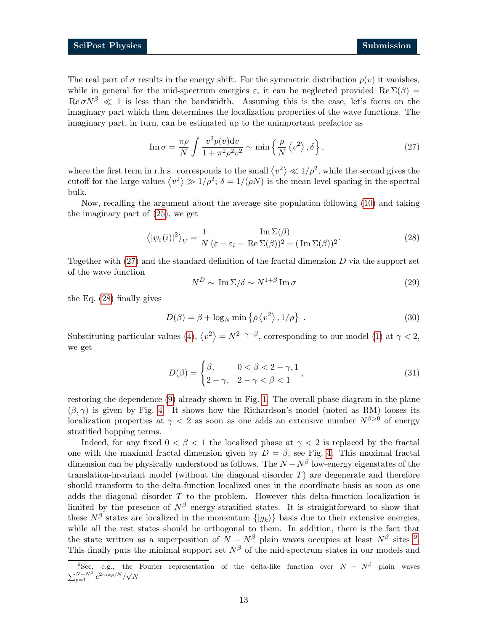The real part of  $\sigma$  results in the energy shift. For the symmetric distribution  $p(v)$  it vanishes, while in general for the mid-spectrum energies  $\varepsilon$ , it can be neglected provided Re  $\Sigma(\beta)$  =  $\text{Re}\,\sigma N^{\beta} \ll 1$  is less than the bandwidth. Assuming this is the case, let's focus on the imaginary part which then determines the localization properties of the wave functions. The imaginary part, in turn, can be estimated up to the unimportant prefactor as

<span id="page-12-0"></span>
$$
\operatorname{Im} \sigma = \frac{\pi \rho}{N} \int \frac{v^2 p(v) \mathrm{d}v}{1 + \pi^2 \rho^2 v^2} \sim \min \left\{ \frac{\rho}{N} \left\langle v^2 \right\rangle, \delta \right\},\tag{27}
$$

where the first term in r.h.s. corresponds to the small  $\langle v^2 \rangle \ll 1/\rho^2$ , while the second gives the cutoff for the large values  $\langle v^2 \rangle \gg 1/\rho^2$ ;  $\delta = 1/(\rho N)$  is the mean level spacing in the spectral bulk.

Now, recalling the argument about the average site population following [\(10\)](#page-6-4) and taking the imaginary part of [\(25\)](#page-11-5), we get

<span id="page-12-1"></span>
$$
\langle |\psi_{\varepsilon}(i)|^2 \rangle_V = \frac{1}{N} \frac{\operatorname{Im} \Sigma(\beta)}{(\varepsilon - \varepsilon_i - \operatorname{Re} \Sigma(\beta))^2 + (\operatorname{Im} \Sigma(\beta))^2}.
$$
 (28)

Together with  $(27)$  and the standard definition of the fractal dimension D via the support set of the wave function

$$
N^D \sim \operatorname{Im} \Sigma / \delta \sim N^{1+\beta} \operatorname{Im} \sigma \tag{29}
$$

the Eq. [\(28\)](#page-12-1) finally gives

$$
D(\beta) = \beta + \log_N \min \{ \rho \langle v^2 \rangle, 1/\rho \} . \tag{30}
$$

Substituting particular values [\(4\)](#page-4-3),  $\langle v^2 \rangle = N^{2-\gamma-\beta}$ , corresponding to our model [\(1\)](#page-3-4) at  $\gamma < 2$ , we get

<span id="page-12-3"></span>
$$
D(\beta) = \begin{cases} \beta, & 0 < \beta < 2 - \gamma, 1 \\ 2 - \gamma, & 2 - \gamma < \beta < 1 \end{cases} \tag{31}
$$

restoring the dependence [\(9\)](#page-5-1) already shown in Fig. [1.](#page-5-0) The overall phase diagram in the plane  $(\beta, \gamma)$  is given by Fig. [4.](#page-13-1) It shows how the Richardson's model (noted as RM) looses its localization properties at  $\gamma < 2$  as soon as one adds an extensive number  $N^{\beta > 0}$  of energy stratified hopping terms.

Indeed, for any fixed  $0 < \beta < 1$  the localized phase at  $\gamma < 2$  is replaced by the fractal one with the maximal fractal dimension given by  $D = \beta$ , see Fig. [4.](#page-13-1) This maximal fractal dimension can be physically understood as follows. The  $N - N^{\beta}$  low-energy eigenstates of the translation-invariant model (without the diagonal disorder  $T$ ) are degenerate and therefore should transform to the delta-function localized ones in the coordinate basis as soon as one adds the diagonal disorder T to the problem. However this delta-function localization is limited by the presence of  $N^{\beta}$  energy-stratified states. It is straightforward to show that these  $N^{\beta}$  states are localized in the momentum  $\{|g_k\rangle\}$  basis due to their extensive energies, while all the rest states should be orthogonal to them. In addition, there is the fact that the state written as a superposition of  $N - N^{\beta}$  plain waves occupies at least  $N^{\beta}$  sites <sup>[9](#page-12-2)</sup>. This finally puts the minimal support set  $N^{\beta}$  of the mid-spectrum states in our models and

<span id="page-12-2"></span><sup>&</sup>lt;sup>9</sup>See, e.g., the Fourier representation of the delta-like function over  $N - N^{\beta}$  plain waves  $\sum_{p=1}^{N-N^{\beta}} e^{2\pi i x p/N} / \sqrt{N}$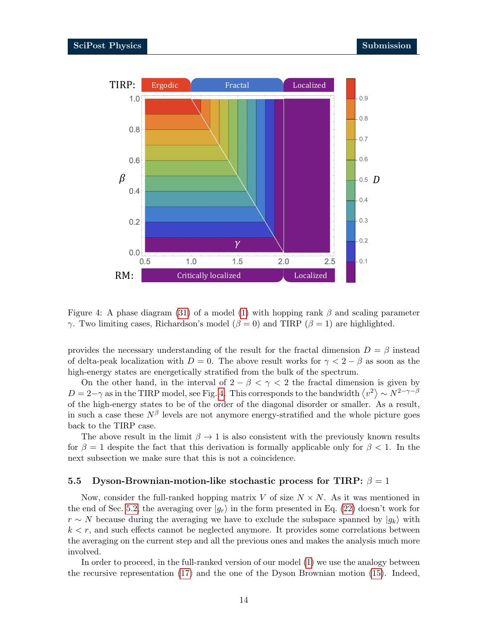

<span id="page-13-1"></span>Figure 4: A phase diagram [\(31\)](#page-12-3) of a model [\(1\)](#page-3-4) with hopping rank  $\beta$  and scaling parameter γ. Two limiting cases, Richardson's model ( $\beta = 0$ ) and TIRP ( $\beta = 1$ ) are highlighted.

provides the necessary understanding of the result for the fractal dimension  $D = \beta$  instead of delta-peak localization with  $D = 0$ . The above result works for  $\gamma < 2 - \beta$  as soon as the high-energy states are energetically stratified from the bulk of the spectrum.

On the other hand, in the interval of  $2 - \beta < \gamma < 2$  the fractal dimension is given by  $D = 2-\gamma$  as in the TIRP model, see Fig. [4.](#page-13-1) This corresponds to the bandwidth  $\langle v^2 \rangle \sim N^{2-\gamma-\beta}$ of the high-energy states to be of the order of the diagonal disorder or smaller. As a result, in such a case these  $N^{\beta}$  levels are not anymore energy-stratified and the whole picture goes back to the TIRP case.

The above result in the limit  $\beta \to 1$  is also consistent with the previously known results for  $\beta = 1$  despite the fact that this derivation is formally applicable only for  $\beta < 1$ . In the next subsection we make sure that this is not a coincidence.

#### <span id="page-13-0"></span>5.5 Dyson-Brownian-motion-like stochastic process for TIRP:  $\beta = 1$

Now, consider the full-ranked hopping matrix V of size  $N \times N$ . As it was mentioned in the end of Sec. [5.2,](#page-9-0) the averaging over  $|g_r\rangle$  in the form presented in Eq. [\(22\)](#page-11-6) doesn't work for  $r \sim N$  because during the averaging we have to exclude the subspace spanned by  $|g_k\rangle$  with  $k < r$ , and such effects cannot be neglected anymore. It provides some correlations between the averaging on the current step and all the previous ones and makes the analysis much more involved.

In order to proceed, in the full-ranked version of our model [\(1\)](#page-3-4) we use the analogy between the recursive representation [\(17\)](#page-8-7) and the one of the Dyson Brownian motion [\(15\)](#page-8-8). Indeed,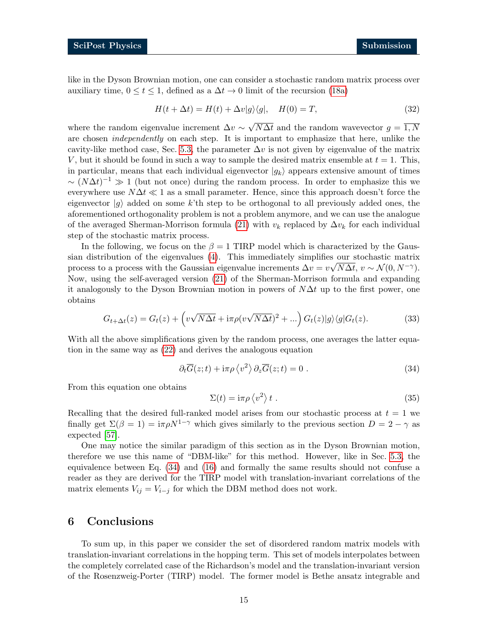like in the Dyson Brownian motion, one can consider a stochastic random matrix process over auxiliary time,  $0 \le t \le 1$ , defined as a  $\Delta t \to 0$  limit of the recursion [\(18a\)](#page-8-3)

$$
H(t + \Delta t) = H(t) + \Delta v|g\rangle\langle g|, \quad H(0) = T,
$$
\n(32)

where the random eigenvalue increment  $\Delta v \sim$ √  $N\Delta t$  and the random wavevector  $g=1, N$ are chosen independently on each step. It is important to emphasize that here, unlike the cavity-like method case, Sec. [5.3,](#page-11-0) the parameter  $\Delta v$  is not given by eigenvalue of the matrix V, but it should be found in such a way to sample the desired matrix ensemble at  $t = 1$ . This, in particular, means that each individual eigenvector  $|g_k\rangle$  appears extensive amount of times  $\sim (N\Delta t)^{-1} \gg 1$  (but not once) during the random process. In order to emphasize this we everywhere use  $N\Delta t \ll 1$  as a small parameter. Hence, since this approach doesn't force the eigenvector  $|q\rangle$  added on some k'th step to be orthogonal to all previously added ones, the aforementioned orthogonality problem is not a problem anymore, and we can use the analogue of the averaged Sherman-Morrison formula [\(21\)](#page-10-1) with  $v_k$  replaced by  $\Delta v_k$  for each individual step of the stochastic matrix process.

In the following, we focus on the  $\beta = 1$  TIRP model which is characterized by the Gaussian distribution of the eigenvalues  $(4)$ . This immediately simplifies our stochastic matrix process to a process with the Gaussian eigenvalue increments  $\Delta v = v \sqrt{N \Delta t}$ ,  $v \sim \mathcal{N}(0, N^{-\gamma})$ . Now, using the self-averaged version [\(21\)](#page-10-1) of the Sherman-Morrison formula and expanding it analogously to the Dyson Brownian motion in powers of  $N\Delta t$  up to the first power, one obtains

$$
G_{t+\Delta t}(z) = G_t(z) + \left(v\sqrt{N\Delta t} + i\pi\rho(v\sqrt{N\Delta t})^2 + \ldots\right)G_t(z)|g\rangle\langle g|G_t(z).
$$
 (33)

With all the above simplifications given by the random process, one averages the latter equation in the same way as [\(22\)](#page-11-6) and derives the analogous equation

$$
\partial_t \overline{G}(z;t) + i\pi \rho \langle v^2 \rangle \partial_z \overline{G}(z;t) = 0.
$$
 (34)

From this equation one obtains

<span id="page-14-1"></span>
$$
\Sigma(t) = i\pi \rho \left\langle v^2 \right\rangle t \tag{35}
$$

Recalling that the desired full-ranked model arises from our stochastic process at  $t = 1$  we finally get  $\Sigma(\beta = 1) = i\pi\rho N^{1-\gamma}$  which gives similarly to the previous section  $D = 2 - \gamma$  as expected [\[57\]](#page-23-2).

One may notice the similar paradigm of this section as in the Dyson Brownian motion, therefore we use this name of "DBM-like" for this method. However, like in Sec. [5.3,](#page-11-0) the equivalence between Eq. [\(34\)](#page-14-1) and [\(16\)](#page-8-6) and formally the same results should not confuse a reader as they are derived for the TIRP model with translation-invariant correlations of the matrix elements  $V_{ij} = V_{i-j}$  for which the DBM method does not work.

### <span id="page-14-0"></span>6 Conclusions

To sum up, in this paper we consider the set of disordered random matrix models with translation-invariant correlations in the hopping term. This set of models interpolates between the completely correlated case of the Richardson's model and the translation-invariant version of the Rosenzweig-Porter (TIRP) model. The former model is Bethe ansatz integrable and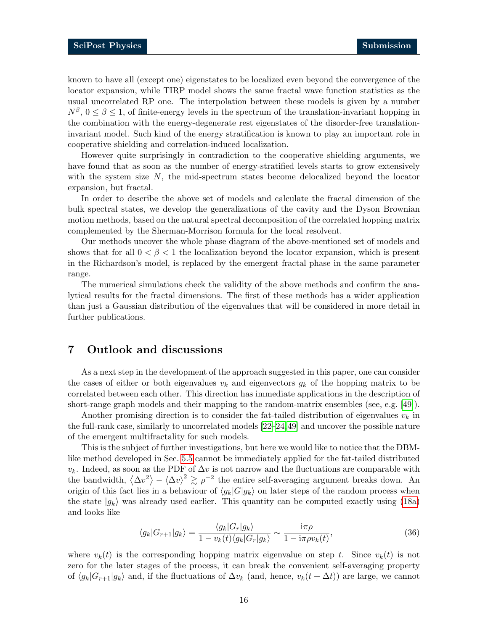known to have all (except one) eigenstates to be localized even beyond the convergence of the locator expansion, while TIRP model shows the same fractal wave function statistics as the usual uncorrelated RP one. The interpolation between these models is given by a number  $N^{\beta}$ ,  $0 \leq \beta \leq 1$ , of finite-energy levels in the spectrum of the translation-invariant hopping in the combination with the energy-degenerate rest eigenstates of the disorder-free translationinvariant model. Such kind of the energy stratification is known to play an important role in cooperative shielding and correlation-induced localization.

However quite surprisingly in contradiction to the cooperative shielding arguments, we have found that as soon as the number of energy-stratified levels starts to grow extensively with the system size  $N$ , the mid-spectrum states become delocalized beyond the locator expansion, but fractal.

In order to describe the above set of models and calculate the fractal dimension of the bulk spectral states, we develop the generalizations of the cavity and the Dyson Brownian motion methods, based on the natural spectral decomposition of the correlated hopping matrix complemented by the Sherman-Morrison formula for the local resolvent.

Our methods uncover the whole phase diagram of the above-mentioned set of models and shows that for all  $0 < \beta < 1$  the localization beyond the locator expansion, which is present in the Richardson's model, is replaced by the emergent fractal phase in the same parameter range.

The numerical simulations check the validity of the above methods and confirm the analytical results for the fractal dimensions. The first of these methods has a wider application than just a Gaussian distribution of the eigenvalues that will be considered in more detail in further publications.

### <span id="page-15-0"></span>7 Outlook and discussions

As a next step in the development of the approach suggested in this paper, one can consider the cases of either or both eigenvalues  $v_k$  and eigenvectors  $g_k$  of the hopping matrix to be correlated between each other. This direction has immediate applications in the description of short-range graph models and their mapping to the random-matrix ensembles (see, e.g. [\[49\]](#page-22-6)).

Another promising direction is to consider the fat-tailed distribution of eigenvalues  $v_k$  in the full-rank case, similarly to uncorrelated models [\[22–](#page-20-1)[24,](#page-20-2)[49\]](#page-22-6) and uncover the possible nature of the emergent multifractality for such models.

This is the subject of further investigations, but here we would like to notice that the DBMlike method developed in Sec. [5.5](#page-13-0) cannot be immediately applied for the fat-tailed distributed  $v_k$ . Indeed, as soon as the PDF of  $\Delta v$  is not narrow and the fluctuations are comparable with the bandwidth,  $\langle \Delta v^2 \rangle - \langle \Delta v \rangle^2 \gtrsim \rho^{-2}$  the entire self-averaging argument breaks down. An origin of this fact lies in a behaviour of  $\langle g_k|G|g_k\rangle$  on later steps of the random process when the state  $|g_k\rangle$  was already used earlier. This quantity can be computed exactly using [\(18a\)](#page-8-3) and looks like

$$
\langle g_k | G_{r+1} | g_k \rangle = \frac{\langle g_k | G_r | g_k \rangle}{1 - v_k(t) \langle g_k | G_r | g_k \rangle} \sim \frac{\mathrm{i} \pi \rho}{1 - \mathrm{i} \pi \rho v_k(t)},\tag{36}
$$

where  $v_k(t)$  is the corresponding hopping matrix eigenvalue on step t. Since  $v_k(t)$  is not zero for the later stages of the process, it can break the convenient self-averaging property of  $\langle g_k|G_{r+1}|g_k\rangle$  and, if the fluctuations of  $\Delta v_k$  (and, hence,  $v_k(t + \Delta t)$ ) are large, we cannot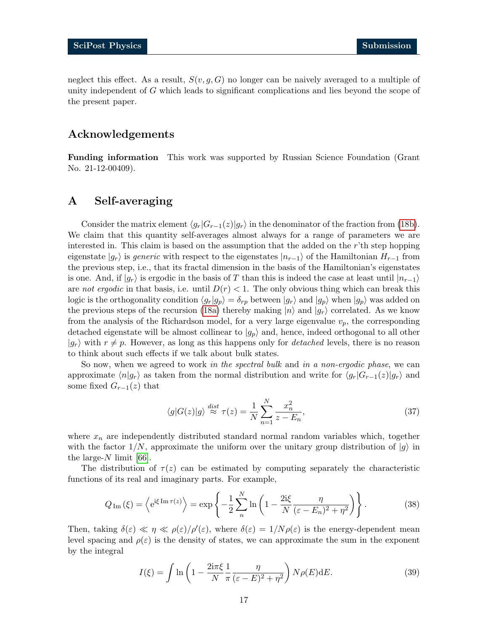neglect this effect. As a result,  $S(v, g, G)$  no longer can be naively averaged to a multiple of unity independent of G which leads to significant complications and lies beyond the scope of the present paper.

## Acknowledgements

Funding information This work was supported by Russian Science Foundation (Grant No. 21-12-00409).

# <span id="page-16-0"></span>A Self-averaging

Consider the matrix element  $\langle g_r|G_{r-1}(z)|g_r\rangle$  in the denominator of the fraction from [\(18b\)](#page-8-2). We claim that this quantity self-averages almost always for a range of parameters we are interested in. This claim is based on the assumption that the added on the r'th step hopping eigenstate  $|g_r\rangle$  is generic with respect to the eigenstates  $|n_{r-1}\rangle$  of the Hamiltonian  $H_{r-1}$  from the previous step, i.e., that its fractal dimension in the basis of the Hamiltonian's eigenstates is one. And, if  $|g_r\rangle$  is ergodic in the basis of T than this is indeed the case at least until  $|n_{r-1}\rangle$ are not ergodic in that basis, i.e. until  $D(r) < 1$ . The only obvious thing which can break this logic is the orthogonality condition  $\langle g_r|g_p\rangle = \delta_{rp}$  between  $|g_r\rangle$  and  $|g_p\rangle$  when  $|g_p\rangle$  was added on the previous steps of the recursion [\(18a\)](#page-8-3) thereby making  $|n\rangle$  and  $|g_r\rangle$  correlated. As we know from the analysis of the Richardson model, for a very large eigenvalue  $v_p$ , the corresponding detached eigenstate will be almost collinear to  $|g_p\rangle$  and, hence, indeed orthogonal to all other  $|g_r\rangle$  with  $r \neq p$ . However, as long as this happens only for *detached* levels, there is no reason to think about such effects if we talk about bulk states.

So now, when we agreed to work in the spectral bulk and in a non-ergodic phase, we can approximate  $\langle n|g_r\rangle$  as taken from the normal distribution and write for  $\langle g_r|G_{r-1}(z)|g_r\rangle$  and some fixed  $G_{r-1}(z)$  that

$$
\langle g|G(z)|g\rangle \stackrel{dist}{\approx} \tau(z) = \frac{1}{N} \sum_{n=1}^{N} \frac{x_n^2}{z - E_n},\tag{37}
$$

where  $x_n$  are independently distributed standard normal random variables which, together with the factor  $1/N$ , approximate the uniform over the unitary group distribution of  $|q\rangle$  in the large- $N$  limit [\[66\]](#page-23-9).

The distribution of  $\tau(z)$  can be estimated by computing separately the characteristic functions of its real and imaginary parts. For example,

<span id="page-16-1"></span>
$$
Q_{\rm Im}(\xi) = \left\langle e^{i\xi \operatorname{Im} \tau(z)} \right\rangle = \exp \left\{ -\frac{1}{2} \sum_{n=1}^{N} \ln \left( 1 - \frac{2i\xi}{N} \frac{\eta}{(\varepsilon - E_n)^2 + \eta^2} \right) \right\}.
$$
 (38)

Then, taking  $\delta(\varepsilon) \ll \eta \ll \rho(\varepsilon)/\rho'(\varepsilon)$ , where  $\delta(\varepsilon) = 1/N\rho(\varepsilon)$  is the energy-dependent mean level spacing and  $\rho(\varepsilon)$  is the density of states, we can approximate the sum in the exponent by the integral

<span id="page-16-2"></span>
$$
I(\xi) = \int \ln\left(1 - \frac{2i\pi\xi}{N} \frac{1}{\pi} \frac{\eta}{(\varepsilon - E)^2 + \eta^2}\right) N\rho(E) dE.
$$
 (39)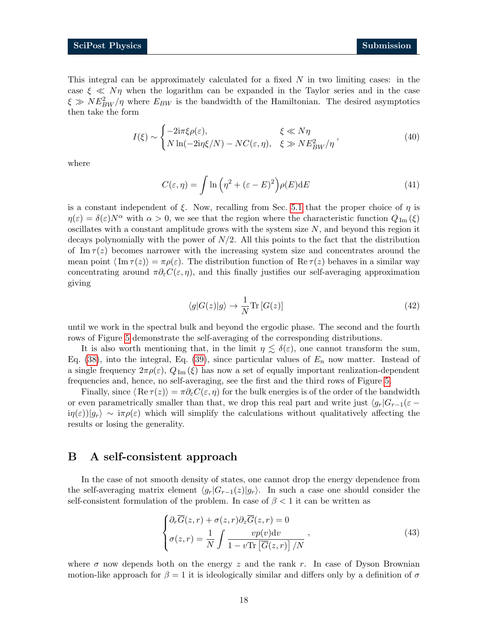This integral can be approximately calculated for a fixed N in two limiting cases: in the case  $\xi \ll N\eta$  when the logarithm can be expanded in the Taylor series and in the case  $\xi \gg NE_{BW}^2/\eta$  where  $E_{BW}$  is the bandwidth of the Hamiltonian. The desired asymptotics then take the form

$$
I(\xi) \sim \begin{cases} -2i\pi\xi\rho(\varepsilon), & \xi \ll N\eta \\ N\ln(-2i\eta\xi/N) - NC(\varepsilon, \eta), & \xi \gg NE_{BW}^2/\eta \end{cases}
$$
(40)

where

$$
C(\varepsilon, \eta) = \int \ln \left( \eta^2 + (\varepsilon - E)^2 \right) \rho(E) dE \tag{41}
$$

is a constant independent of ξ. Now, recalling from Sec. [5.1](#page-8-1) that the proper choice of  $\eta$  is  $\eta(\varepsilon) = \delta(\varepsilon)N^{\alpha}$  with  $\alpha > 0$ , we see that the region where the characteristic function  $Q_{\text{Im}}(\xi)$ oscillates with a constant amplitude grows with the system size  $N$ , and beyond this region it decays polynomially with the power of  $N/2$ . All this points to the fact that the distribution of Im  $\tau(z)$  becomes narrower with the increasing system size and concentrates around the mean point  $\langle \text{Im } \tau(z) \rangle = \pi \rho(\varepsilon)$ . The distribution function of Re  $\tau(z)$  behaves in a similar way concentrating around  $\pi \partial_{\varepsilon} C(\varepsilon, \eta)$ , and this finally justifies our self-averaging approximation giving

$$
\langle g|G(z)|g\rangle \to \frac{1}{N} \text{Tr}\left[G(z)\right] \tag{42}
$$

until we work in the spectral bulk and beyond the ergodic phase. The second and the fourth rows of Figure [5](#page-24-0) demonstrate the self-averaging of the corresponding distributions.

It is also worth mentioning that, in the limit  $\eta \lesssim \delta(\varepsilon)$ , one cannot transform the sum, Eq. [\(38\)](#page-16-1), into the integral, Eq. [\(39\)](#page-16-2), since particular values of  $E_n$  now matter. Instead of a single frequency  $2\pi \rho(\varepsilon)$ ,  $Q_{\text{Im}}(\xi)$  has now a set of equally important realization-dependent frequencies and, hence, no self-averaging, see the first and the third rows of Figure [5.](#page-24-0)

Finally, since  $\langle \text{Re } \tau(z) \rangle = \pi \partial_{\varepsilon} C(\varepsilon, \eta)$  for the bulk energies is of the order of the bandwidth or even parametrically smaller than that, we drop this real part and write just  $\langle g_r|G_{r-1}(\varepsilon$  $i\eta(\varepsilon)|g_r\rangle \sim i\pi\rho(\varepsilon)$  which will simplify the calculations without qualitatively affecting the results or losing the generality.

## <span id="page-17-0"></span>B A self-consistent approach

In the case of not smooth density of states, one cannot drop the energy dependence from the self-averaging matrix element  $\langle g_r|G_{r-1}(z)|g_r\rangle$ . In such a case one should consider the self-consistent formulation of the problem. In case of  $\beta < 1$  it can be written as

<span id="page-17-1"></span>
$$
\begin{cases}\n\partial_r \overline{G}(z,r) + \sigma(z,r)\partial_z \overline{G}(z,r) = 0 \\
\sigma(z,r) = \frac{1}{N} \int \frac{vp(v)dv}{1 - v \text{Tr}[\overline{G}(z,r)]/N},\n\end{cases} \tag{43}
$$

where  $\sigma$  now depends both on the energy z and the rank r. In case of Dyson Brownian motion-like approach for  $\beta = 1$  it is ideologically similar and differs only by a definition of  $\sigma$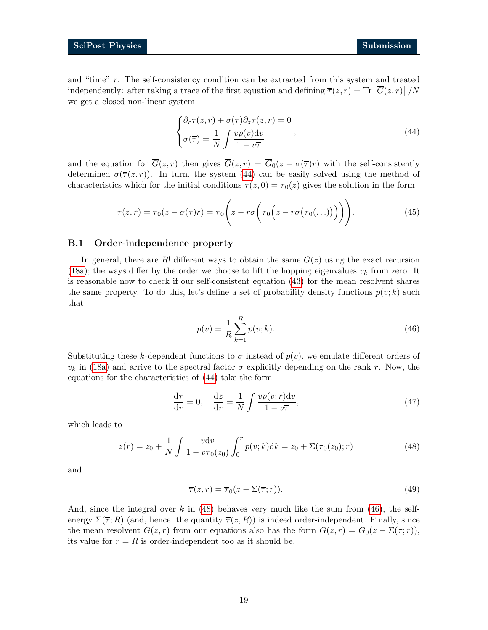and "time" r. The self-consistency condition can be extracted from this system and treated independently: after taking a trace of the first equation and defining  $\overline{\tau}(z,r) = \text{Tr} \left[ \overline{G}(z,r) \right] / N$ we get a closed non-linear system

<span id="page-18-2"></span>
$$
\begin{cases} \partial_r \overline{\tau}(z,r) + \sigma(\overline{\tau}) \partial_z \overline{\tau}(z,r) = 0 \\ \sigma(\overline{\tau}) = \frac{1}{N} \int \frac{vp(v)dv}{1 - v\overline{\tau}} \end{cases}
$$
\n(44)

and the equation for  $\overline{G}(z, r)$  then gives  $\overline{G}(z, r) = \overline{G}_0(z - \sigma(\overline{\tau})r)$  with the self-consistently determined  $\sigma(\overline{\tau}(z,r))$ . In turn, the system [\(44\)](#page-18-2) can be easily solved using the method of characteristics which for the initial conditions  $\overline{\tau}(z,0) = \overline{\tau}_0(z)$  gives the solution in the form

$$
\overline{\tau}(z,r) = \overline{\tau}_0(z - \sigma(\overline{\tau})r) = \overline{\tau}_0\left(z - r\sigma\left(\overline{\tau}_0(z - r\sigma(\overline{\tau}_0(\ldots)))\right)\right).
$$
\n(45)

#### <span id="page-18-0"></span>B.1 Order-independence property

In general, there are R! different ways to obtain the same  $G(z)$  using the exact recursion [\(18a\)](#page-8-3); the ways differ by the order we choose to lift the hopping eigenvalues  $v_k$  from zero. It is reasonable now to check if our self-consistent equation [\(43\)](#page-17-1) for the mean resolvent shares the same property. To do this, let's define a set of probability density functions  $p(v; k)$  such that

<span id="page-18-4"></span>
$$
p(v) = \frac{1}{R} \sum_{k=1}^{R} p(v; k).
$$
 (46)

Substituting these k-dependent functions to  $\sigma$  instead of  $p(v)$ , we emulate different orders of  $v_k$  in [\(18a\)](#page-8-3) and arrive to the spectral factor  $\sigma$  explicitly depending on the rank r. Now, the equations for the characteristics of [\(44\)](#page-18-2) take the form

$$
\frac{\mathrm{d}\overline{\tau}}{\mathrm{d}r} = 0, \quad \frac{\mathrm{d}z}{\mathrm{d}r} = \frac{1}{N} \int \frac{vp(v;r)\mathrm{d}v}{1 - v\overline{\tau}},\tag{47}
$$

which leads to

<span id="page-18-3"></span>
$$
z(r) = z_0 + \frac{1}{N} \int \frac{v dv}{1 - v \overline{\tau}_0(z_0)} \int_0^r p(v; k) dk = z_0 + \Sigma(\overline{\tau}_0(z_0); r)
$$
(48)

and

<span id="page-18-1"></span>
$$
\overline{\tau}(z,r) = \overline{\tau}_0(z - \Sigma(\overline{\tau};r)).\tag{49}
$$

And, since the integral over k in  $(48)$  behaves very much like the sum from  $(46)$ , the selfenergy  $\Sigma(\overline{\tau};R)$  (and, hence, the quantity  $\overline{\tau}(z,R)$ ) is indeed order-independent. Finally, since the mean resolvent  $\overline{G}(z, r)$  from our equations also has the form  $\overline{G}(z, r) = \overline{G}_0(z - \Sigma(\overline{\tau}; r)),$ its value for  $r = R$  is order-independent too as it should be.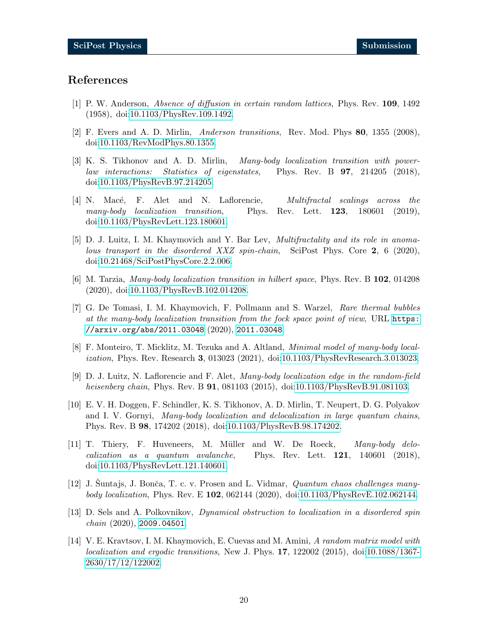## References

- <span id="page-19-0"></span>[1] P. W. Anderson, Absence of diffusion in certain random lattices, Phys. Rev. 109, 1492 (1958), doi[:10.1103/PhysRev.109.1492.](https://doi.org/10.1103/PhysRev.109.1492)
- <span id="page-19-1"></span>[2] F. Evers and A. D. Mirlin, Anderson transitions, Rev. Mod. Phys 80, 1355 (2008), doi[:10.1103/RevModPhys.80.1355.](https://doi.org/10.1103/RevModPhys.80.1355)
- <span id="page-19-2"></span>[3] K. S. Tikhonov and A. D. Mirlin, Many-body localization transition with powerlaw interactions: Statistics of eigenstates, Phys. Rev. B 97, 214205 (2018), doi[:10.1103/PhysRevB.97.214205.](https://doi.org/10.1103/PhysRevB.97.214205)
- [4] N. Macé, F. Alet and N. Laflorencie, Multifractal scalings across the many-body localization transition, Phys. Rev. Lett. 123, 180601 (2019), doi[:10.1103/PhysRevLett.123.180601.](https://doi.org/10.1103/PhysRevLett.123.180601)
- [5] D. J. Luitz, I. M. Khaymovich and Y. Bar Lev, *Multifractality and its role in anoma*lous transport in the disordered XXZ spin-chain, SciPost Phys. Core 2, 6 (2020), doi[:10.21468/SciPostPhysCore.2.2.006.](https://doi.org/10.21468/SciPostPhysCore.2.2.006)
- <span id="page-19-8"></span>[6] M. Tarzia, Many-body localization transition in hilbert space, Phys. Rev. B 102, 014208 (2020), doi[:10.1103/PhysRevB.102.014208.](https://doi.org/10.1103/PhysRevB.102.014208)
- [7] G. De Tomasi, I. M. Khaymovich, F. Pollmann and S. Warzel, Rare thermal bubbles at the many-body localization transition from the fock space point of view, URL [https:](https://arxiv.org/abs/2011.03048) [//arxiv.org/abs/2011.03048](https://arxiv.org/abs/2011.03048) (2020), <2011.03048>.
- <span id="page-19-3"></span>[8] F. Monteiro, T. Micklitz, M. Tezuka and A. Altland, Minimal model of many-body localization, Phys. Rev. Research 3, 013023 (2021), doi[:10.1103/PhysRevResearch.3.013023.](https://doi.org/10.1103/PhysRevResearch.3.013023)
- <span id="page-19-4"></span>[9] D. J. Luitz, N. Laflorencie and F. Alet, Many-body localization edge in the random-field heisenberg chain, Phys. Rev. B **91**, 081103 (2015), doi[:10.1103/PhysRevB.91.081103.](https://doi.org/10.1103/PhysRevB.91.081103)
- [10] E. V. H. Doggen, F. Schindler, K. S. Tikhonov, A. D. Mirlin, T. Neupert, D. G. Polyakov and I. V. Gornyi, Many-body localization and delocalization in large quantum chains, Phys. Rev. B 98, 174202 (2018), doi[:10.1103/PhysRevB.98.174202.](https://doi.org/10.1103/PhysRevB.98.174202)
- <span id="page-19-5"></span>[11] T. Thiery, F. Huveneers, M. M¨uller and W. De Roeck, Many-body delocalization as a quantum avalanche, Phys. Rev. Lett.  $121$ ,  $140601$  (2018), doi[:10.1103/PhysRevLett.121.140601.](https://doi.org/10.1103/PhysRevLett.121.140601)
- [12] J. Suntajs, J. Bonča, T. c. v. Prosen and L. Vidmar, *Quantum chaos challenges many*body localization, Phys. Rev. E 102, 062144 (2020), doi[:10.1103/PhysRevE.102.062144.](https://doi.org/10.1103/PhysRevE.102.062144)
- <span id="page-19-6"></span>[13] D. Sels and A. Polkovnikov, Dynamical obstruction to localization in a disordered spin  $chain (2020), 2009.04501.$  $chain (2020), 2009.04501.$  $chain (2020), 2009.04501.$
- <span id="page-19-7"></span>[14] V. E. Kravtsov, I. M. Khaymovich, E. Cuevas and M. Amini, A random matrix model with localization and ergodic transitions, New J. Phys. 17, 122002 (2015), doi[:10.1088/1367-](https://doi.org/10.1088/1367-2630/17/12/122002) [2630/17/12/122002.](https://doi.org/10.1088/1367-2630/17/12/122002)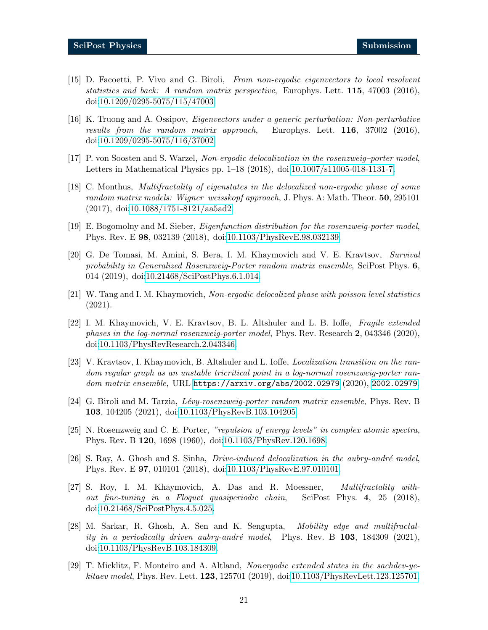- <span id="page-20-8"></span>[15] D. Facoetti, P. Vivo and G. Biroli, From non-ergodic eigenvectors to local resolvent statistics and back: A random matrix perspective, Europhys. Lett. 115, 47003 (2016), doi[:10.1209/0295-5075/115/47003.](https://doi.org/10.1209/0295-5075/115/47003)
- [16] K. Truong and A. Ossipov, Eigenvectors under a generic perturbation: Non-perturbative results from the random matrix approach, Europhys. Lett. **116**, 37002 (2016), doi[:10.1209/0295-5075/116/37002.](https://doi.org/10.1209/0295-5075/116/37002)
- [17] P. von Soosten and S. Warzel, Non-ergodic delocalization in the rosenzweig–porter model, Letters in Mathematical Physics pp. 1–18 (2018), doi[:10.1007/s11005-018-1131-7.](https://doi.org/10.1007/s11005-018-1131-7)
- [18] C. Monthus, Multifractality of eigenstates in the delocalized non-ergodic phase of some random matrix models: Wigner–weisskopf approach, J. Phys. A: Math. Theor. 50, 295101 (2017), doi[:10.1088/1751-8121/aa5ad2.](https://doi.org/10.1088/1751-8121/aa5ad2)
- <span id="page-20-9"></span>[19] E. Bogomolny and M. Sieber, Eigenfunction distribution for the rosenzweig-porter model, Phys. Rev. E 98, 032139 (2018), doi[:10.1103/PhysRevE.98.032139.](https://doi.org/10.1103/PhysRevE.98.032139)
- [20] G. De Tomasi, M. Amini, S. Bera, I. M. Khaymovich and V. E. Kravtsov, Survival probability in Generalized Rosenzweig-Porter random matrix ensemble, SciPost Phys. 6, 014 (2019), doi[:10.21468/SciPostPhys.6.1.014.](https://doi.org/10.21468/SciPostPhys.6.1.014)
- <span id="page-20-0"></span>[21] W. Tang and I. M. Khaymovich, Non-ergodic delocalized phase with poisson level statistics (2021).
- <span id="page-20-1"></span>[22] I. M. Khaymovich, V. E. Kravtsov, B. L. Altshuler and L. B. Ioffe, Fragile extended phases in the log-normal rosenzweig-porter model, Phys. Rev. Research 2, 043346 (2020), doi[:10.1103/PhysRevResearch.2.043346.](https://doi.org/10.1103/PhysRevResearch.2.043346)
- <span id="page-20-7"></span>[23] V. Kravtsov, I. Khaymovich, B. Altshuler and L. Ioffe, Localization transition on the random regular graph as an unstable tricritical point in a log-normal rosenzweig-porter random matrix ensemble, URL <https://arxiv.org/abs/2002.02979> (2020), <2002.02979>.
- <span id="page-20-2"></span>[24] G. Biroli and M. Tarzia, *Lévy-rosenzweig-porter random matrix ensemble*, Phys. Rev. B 103, 104205 (2021), doi[:10.1103/PhysRevB.103.104205.](https://doi.org/10.1103/PhysRevB.103.104205)
- <span id="page-20-3"></span>[25] N. Rosenzweig and C. E. Porter, "repulsion of energy levels" in complex atomic spectra, Phys. Rev. B 120, 1698 (1960), doi[:10.1103/PhysRev.120.1698.](https://doi.org/10.1103/PhysRev.120.1698)
- <span id="page-20-4"></span>[26] S. Ray, A. Ghosh and S. Sinha, *Drive-induced delocalization in the aubry-andré model*, Phys. Rev. E 97, 010101 (2018), doi[:10.1103/PhysRevE.97.010101.](https://doi.org/10.1103/PhysRevE.97.010101)
- [27] S. Roy, I. M. Khaymovich, A. Das and R. Moessner, Multifractality without fine-tuning in a Floquet quasiperiodic chain, SciPost Phys. 4, 25 (2018), doi[:10.21468/SciPostPhys.4.5.025.](https://doi.org/10.21468/SciPostPhys.4.5.025)
- <span id="page-20-5"></span>[28] M. Sarkar, R. Ghosh, A. Sen and K. Sengupta, Mobility edge and multifractality in a periodically driven aubry-andré model, Phys. Rev. B  $103$ , 184309 (2021), doi[:10.1103/PhysRevB.103.184309.](https://doi.org/10.1103/PhysRevB.103.184309)
- <span id="page-20-6"></span>[29] T. Micklitz, F. Monteiro and A. Altland, Nonergodic extended states in the sachdev-yekitaev model, Phys. Rev. Lett. 123, 125701 (2019), doi[:10.1103/PhysRevLett.123.125701.](https://doi.org/10.1103/PhysRevLett.123.125701)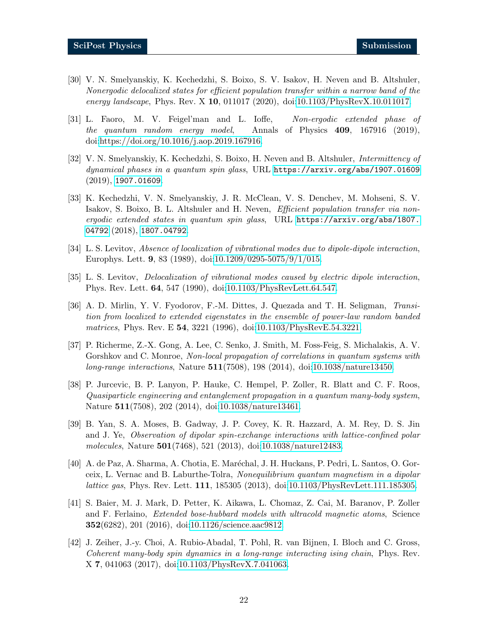- <span id="page-21-0"></span>[30] V. N. Smelyanskiy, K. Kechedzhi, S. Boixo, S. V. Isakov, H. Neven and B. Altshuler, Nonergodic delocalized states for efficient population transfer within a narrow band of the energy landscape, Phys. Rev. X 10, 011017 (2020), doi[:10.1103/PhysRevX.10.011017.](https://doi.org/10.1103/PhysRevX.10.011017)
- [31] L. Faoro, M. V. Feigel'man and L. Ioffe, Non-ergodic extended phase of the quantum random energy model, Annals of Physics 409, 167916 (2019), doi[:https://doi.org/10.1016/j.aop.2019.167916.](https://doi.org/https://doi.org/10.1016/j.aop.2019.167916)
- <span id="page-21-1"></span>[32] V. N. Smelyanskiy, K. Kechedzhi, S. Boixo, H. Neven and B. Altshuler, Intermittency of dynamical phases in a quantum spin glass, URL <https://arxiv.org/abs/1907.01609> (2019), <1907.01609>.
- <span id="page-21-2"></span>[33] K. Kechedzhi, V. N. Smelyanskiy, J. R. McClean, V. S. Denchev, M. Mohseni, S. V. Isakov, S. Boixo, B. L. Altshuler and H. Neven, Efficient population transfer via nonergodic extended states in quantum spin glass, URL [https://arxiv.org/abs/1807.](https://arxiv.org/abs/1807.04792) [04792](https://arxiv.org/abs/1807.04792) (2018), <1807.04792>.
- <span id="page-21-3"></span>[34] L. S. Levitov, Absence of localization of vibrational modes due to dipole-dipole interaction, Europhys. Lett. 9, 83 (1989), doi[:10.1209/0295-5075/9/1/015.](https://doi.org/10.1209/0295-5075/9/1/015)
- [35] L. S. Levitov, Delocalization of vibrational modes caused by electric dipole interaction, Phys. Rev. Lett. 64, 547 (1990), doi[:10.1103/PhysRevLett.64.547.](https://doi.org/10.1103/PhysRevLett.64.547)
- <span id="page-21-4"></span>[36] A. D. Mirlin, Y. V. Fyodorov, F.-M. Dittes, J. Quezada and T. H. Seligman, Transition from localized to extended eigenstates in the ensemble of power-law random banded matrices, Phys. Rev. E 54, 3221 (1996), doi[:10.1103/PhysRevE.54.3221.](https://doi.org/10.1103/PhysRevE.54.3221)
- <span id="page-21-5"></span>[37] P. Richerme, Z.-X. Gong, A. Lee, C. Senko, J. Smith, M. Foss-Feig, S. Michalakis, A. V. Gorshkov and C. Monroe, Non-local propagation of correlations in quantum systems with long-range interactions, Nature 511(7508), 198 (2014), doi[:10.1038/nature13450.](https://doi.org/10.1038/nature13450)
- <span id="page-21-6"></span>[38] P. Jurcevic, B. P. Lanyon, P. Hauke, C. Hempel, P. Zoller, R. Blatt and C. F. Roos, Quasiparticle engineering and entanglement propagation in a quantum many-body system, Nature 511(7508), 202 (2014), doi[:10.1038/nature13461.](https://doi.org/10.1038/nature13461)
- <span id="page-21-7"></span>[39] B. Yan, S. A. Moses, B. Gadway, J. P. Covey, K. R. Hazzard, A. M. Rey, D. S. Jin and J. Ye, Observation of dipolar spin-exchange interactions with lattice-confined polar molecules, Nature 501(7468), 521 (2013), doi[:10.1038/nature12483.](https://doi.org/10.1038/nature12483)
- <span id="page-21-8"></span>[40] A. de Paz, A. Sharma, A. Chotia, E. Maréchal, J. H. Huckans, P. Pedri, L. Santos, O. Gorceix, L. Vernac and B. Laburthe-Tolra, Nonequilibrium quantum magnetism in a dipolar lattice gas, Phys. Rev. Lett. 111, 185305 (2013), doi[:10.1103/PhysRevLett.111.185305.](https://doi.org/10.1103/PhysRevLett.111.185305)
- <span id="page-21-9"></span>[41] S. Baier, M. J. Mark, D. Petter, K. Aikawa, L. Chomaz, Z. Cai, M. Baranov, P. Zoller and F. Ferlaino, Extended bose-hubbard models with ultracold magnetic atoms, Science 352(6282), 201 (2016), doi[:10.1126/science.aac9812.](https://doi.org/10.1126/science.aac9812)
- <span id="page-21-10"></span>[42] J. Zeiher, J.-y. Choi, A. Rubio-Abadal, T. Pohl, R. van Bijnen, I. Bloch and C. Gross, Coherent many-body spin dynamics in a long-range interacting ising chain, Phys. Rev. X 7, 041063 (2017), doi[:10.1103/PhysRevX.7.041063.](https://doi.org/10.1103/PhysRevX.7.041063)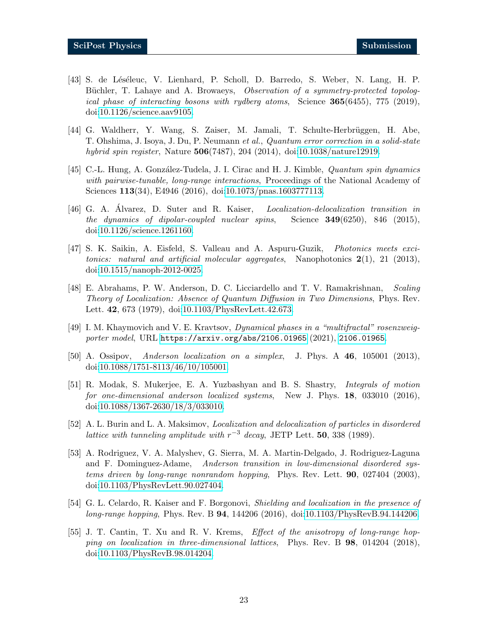- <span id="page-22-0"></span>[43] S. de L´es´eleuc, V. Lienhard, P. Scholl, D. Barredo, S. Weber, N. Lang, H. P. Büchler, T. Lahaye and A. Browaeys, *Observation of a symmetry-protected topolog*ical phase of interacting bosons with rydberg atoms, Science 365(6455), 775 (2019), doi[:10.1126/science.aav9105.](https://doi.org/10.1126/science.aav9105)
- <span id="page-22-1"></span>[44] G. Waldherr, Y. Wang, S. Zaiser, M. Jamali, T. Schulte-Herbrüggen, H. Abe, T. Ohshima, J. Isoya, J. Du, P. Neumann et al., Quantum error correction in a solid-state hybrid spin register, Nature 506(7487), 204 (2014), doi[:10.1038/nature12919.](https://doi.org/10.1038/nature12919)
- <span id="page-22-2"></span>[45] C.-L. Hung, A. González-Tudela, J. I. Cirac and H. J. Kimble, *Quantum spin dynamics* with pairwise-tunable, long-range interactions, Proceedings of the National Academy of Sciences 113(34), E4946 (2016), doi[:10.1073/pnas.1603777113.](https://doi.org/10.1073/pnas.1603777113)
- <span id="page-22-3"></span>[46] G. A. Alvarez, D. Suter and R. Kaiser, *Localization-delocalization transition in* the dynamics of dipolar-coupled nuclear spins, Science  $349(6250)$ , 846 (2015), doi[:10.1126/science.1261160.](https://doi.org/10.1126/science.1261160)
- <span id="page-22-4"></span>[47] S. K. Saikin, A. Eisfeld, S. Valleau and A. Aspuru-Guzik, Photonics meets excitonics: natural and artificial molecular aggregates. Nanophotonics  $2(1)$ ,  $21$  (2013), doi[:10.1515/nanoph-2012-0025.](https://doi.org/10.1515/nanoph-2012-0025)
- <span id="page-22-5"></span>[48] E. Abrahams, P. W. Anderson, D. C. Licciardello and T. V. Ramakrishnan, Scaling Theory of Localization: Absence of Quantum Diffusion in Two Dimensions, Phys. Rev. Lett. 42, 673 (1979), doi[:10.1103/PhysRevLett.42.673.](https://doi.org/10.1103/PhysRevLett.42.673)
- <span id="page-22-6"></span>[49] I. M. Khaymovich and V. E. Kravtsov, Dynamical phases in a "multifractal" rosenzweigporter model, URL <https://arxiv.org/abs/2106.01965> (2021), <2106.01965>.
- <span id="page-22-7"></span>[50] A. Ossipov, Anderson localization on a simplex, J. Phys. A 46, 105001 (2013), doi[:10.1088/1751-8113/46/10/105001.](https://doi.org/10.1088/1751-8113/46/10/105001)
- <span id="page-22-8"></span>[51] R. Modak, S. Mukerjee, E. A. Yuzbashyan and B. S. Shastry, Integrals of motion for one-dimensional anderson localized systems, New J. Phys. 18, 033010 (2016), doi[:10.1088/1367-2630/18/3/033010.](https://doi.org/10.1088/1367-2630/18/3/033010)
- <span id="page-22-9"></span>[52] A. L. Burin and L. A. Maksimov, Localization and delocalization of particles in disordered lattice with tunneling amplitude with  $r^{-3}$  decay, JETP Lett. **50**, 338 (1989).
- <span id="page-22-10"></span>[53] A. Rodriguez, V. A. Malyshev, G. Sierra, M. A. Martin-Delgado, J. Rodriguez-Laguna and F. Dominguez-Adame, Anderson transition in low-dimensional disordered systems driven by long-range nonrandom hopping, Phys. Rev. Lett. 90, 027404 (2003), doi[:10.1103/PhysRevLett.90.027404.](https://doi.org/10.1103/PhysRevLett.90.027404)
- <span id="page-22-11"></span>[54] G. L. Celardo, R. Kaiser and F. Borgonovi, *Shielding and localization in the presence of* long-range hopping, Phys. Rev. B 94, 144206 (2016), doi[:10.1103/PhysRevB.94.144206.](https://doi.org/10.1103/PhysRevB.94.144206)
- <span id="page-22-12"></span>[55] J. T. Cantin, T. Xu and R. V. Krems, Effect of the anisotropy of long-range hopping on localization in three-dimensional lattices, Phys. Rev. B 98, 014204 (2018), doi[:10.1103/PhysRevB.98.014204.](https://doi.org/10.1103/PhysRevB.98.014204)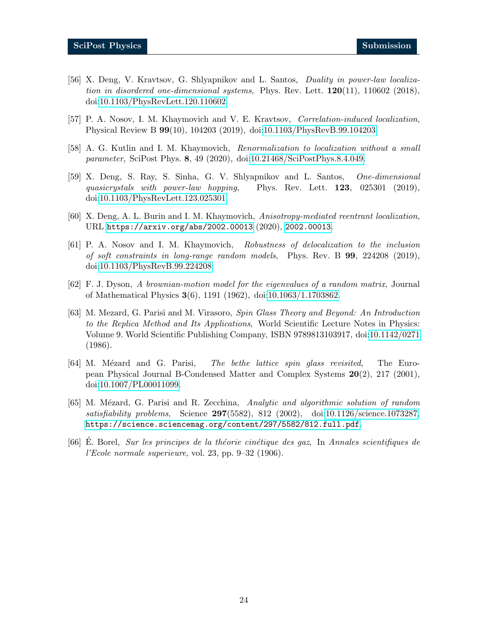- <span id="page-23-0"></span>[56] X. Deng, V. Kravtsov, G. Shlyapnikov and L. Santos, Duality in power-law localization in disordered one-dimensional systems, Phys. Rev. Lett.  $120(11)$ ,  $110602$  (2018), doi[:10.1103/PhysRevLett.120.110602.](https://doi.org/10.1103/PhysRevLett.120.110602)
- <span id="page-23-2"></span>[57] P. A. Nosov, I. M. Khaymovich and V. E. Kravtsov, Correlation-induced localization, Physical Review B 99(10), 104203 (2019), doi[:10.1103/PhysRevB.99.104203.](https://doi.org/10.1103/PhysRevB.99.104203)
- <span id="page-23-6"></span>[58] A. G. Kutlin and I. M. Khaymovich, Renormalization to localization without a small parameter, SciPost Phys. 8, 49 (2020), doi[:10.21468/SciPostPhys.8.4.049.](https://doi.org/10.21468/SciPostPhys.8.4.049)
- [59] X. Deng, S. Ray, S. Sinha, G. V. Shlyapnikov and L. Santos, One-dimensional quasicrystals with power-law hopping, Phys. Rev. Lett. 123, 025301 (2019), doi[:10.1103/PhysRevLett.123.025301.](https://doi.org/10.1103/PhysRevLett.123.025301)
- <span id="page-23-1"></span>[60] X. Deng, A. L. Burin and I. M. Khaymovich, Anisotropy-mediated reentrant localization, URL <https://arxiv.org/abs/2002.00013> (2020), <2002.00013>.
- <span id="page-23-3"></span>[61] P. A. Nosov and I. M. Khaymovich, Robustness of delocalization to the inclusion of soft constraints in long-range random models, Phys. Rev. B 99, 224208 (2019), doi[:10.1103/PhysRevB.99.224208.](https://doi.org/10.1103/PhysRevB.99.224208)
- <span id="page-23-4"></span>[62] F. J. Dyson, A brownian-motion model for the eigenvalues of a random matrix, Journal of Mathematical Physics 3(6), 1191 (1962), doi[:10.1063/1.1703862.](https://doi.org/10.1063/1.1703862)
- <span id="page-23-5"></span>[63] M. Mezard, G. Parisi and M. Virasoro, Spin Glass Theory and Beyond: An Introduction to the Replica Method and Its Applications, World Scientific Lecture Notes in Physics: Volume 9. World Scientific Publishing Company, ISBN 9789813103917, doi[:10.1142/0271](https://doi.org/10.1142/0271) (1986).
- <span id="page-23-7"></span>[64] M. Mézard and G. Parisi, The bethe lattice spin glass revisited, The European Physical Journal B-Condensed Matter and Complex Systems 20(2), 217 (2001), doi[:10.1007/PL00011099.](https://doi.org/10.1007/PL00011099)
- <span id="page-23-8"></span>[65] M. Mézard, G. Parisi and R. Zecchina, Analytic and algorithmic solution of random satisfiability problems, Science 297(5582), 812 (2002), doi[:10.1126/science.1073287,](https://doi.org/10.1126/science.1073287) <https://science.sciencemag.org/content/297/5582/812.full.pdf>.
- <span id="page-23-9"></span>[66] E. Borel, ´ Sur les principes de la th´eorie cin´etique des gaz, In Annales scientifiques de l'Ecole normale superieure, vol. 23, pp. 9–32 (1906).